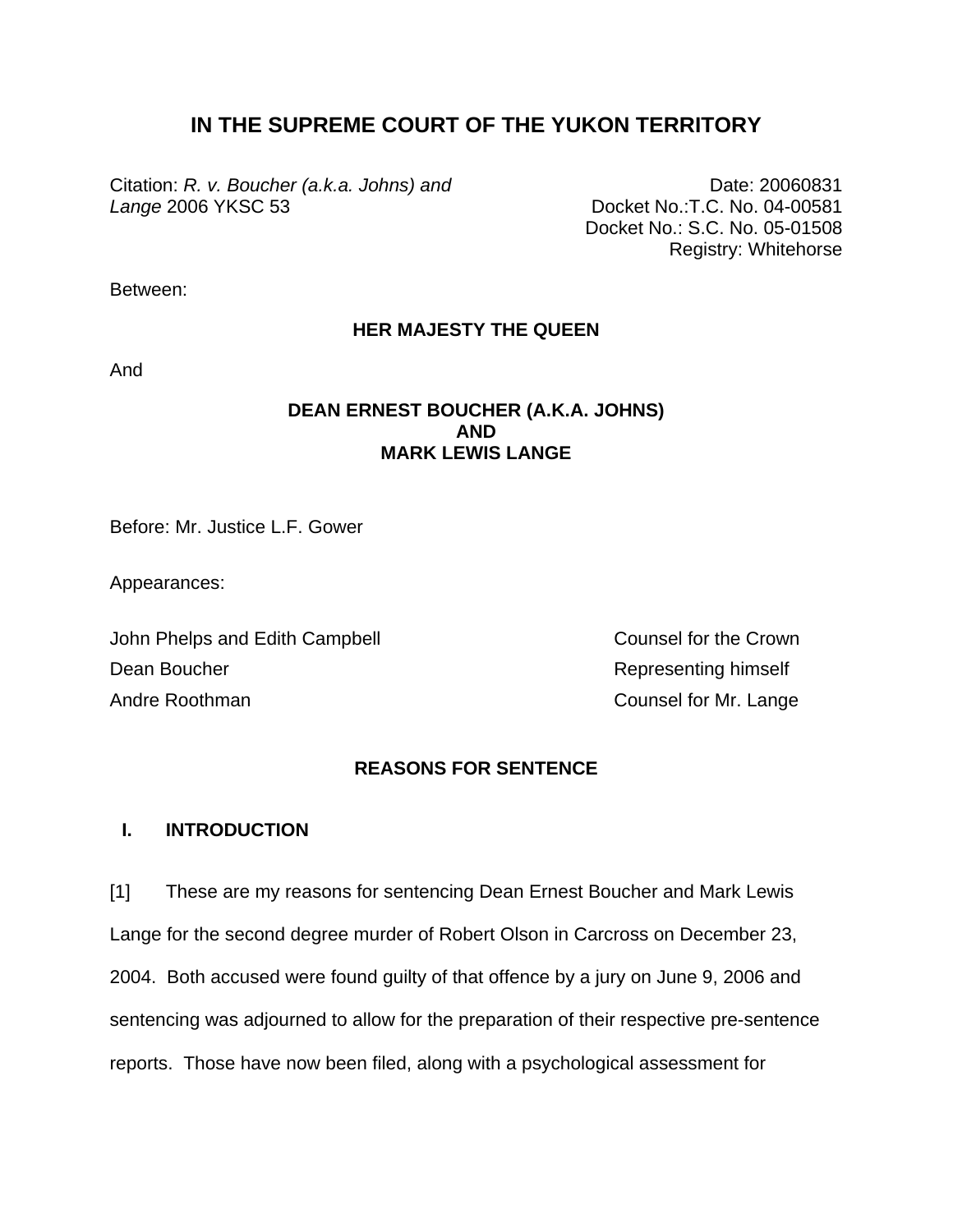# **IN THE SUPREME COURT OF THE YUKON TERRITORY**

Citation: *R. v. Boucher (a.k.a. Johns) and Lange* 2006 YKSC 53

Date: 20060831 Docket No.:T.C. No. 04-00581 Docket No.: S.C. No. 05-01508 Registry: Whitehorse

Between:

## **HER MAJESTY THE QUEEN**

And

## **DEAN ERNEST BOUCHER (A.K.A. JOHNS) AND MARK LEWIS LANGE**

Before: Mr. Justice L.F. Gower

Appearances:

John Phelps and Edith Campbell Counsel for the Crown Dean Boucher **Network Dean Boucher** Representing himself Andre Roothman **Counsel for Mr. Lange** 

## **REASONS FOR SENTENCE**

## **I. INTRODUCTION**

[1] These are my reasons for sentencing Dean Ernest Boucher and Mark Lewis Lange for the second degree murder of Robert Olson in Carcross on December 23, 2004. Both accused were found guilty of that offence by a jury on June 9, 2006 and sentencing was adjourned to allow for the preparation of their respective pre-sentence reports. Those have now been filed, along with a psychological assessment for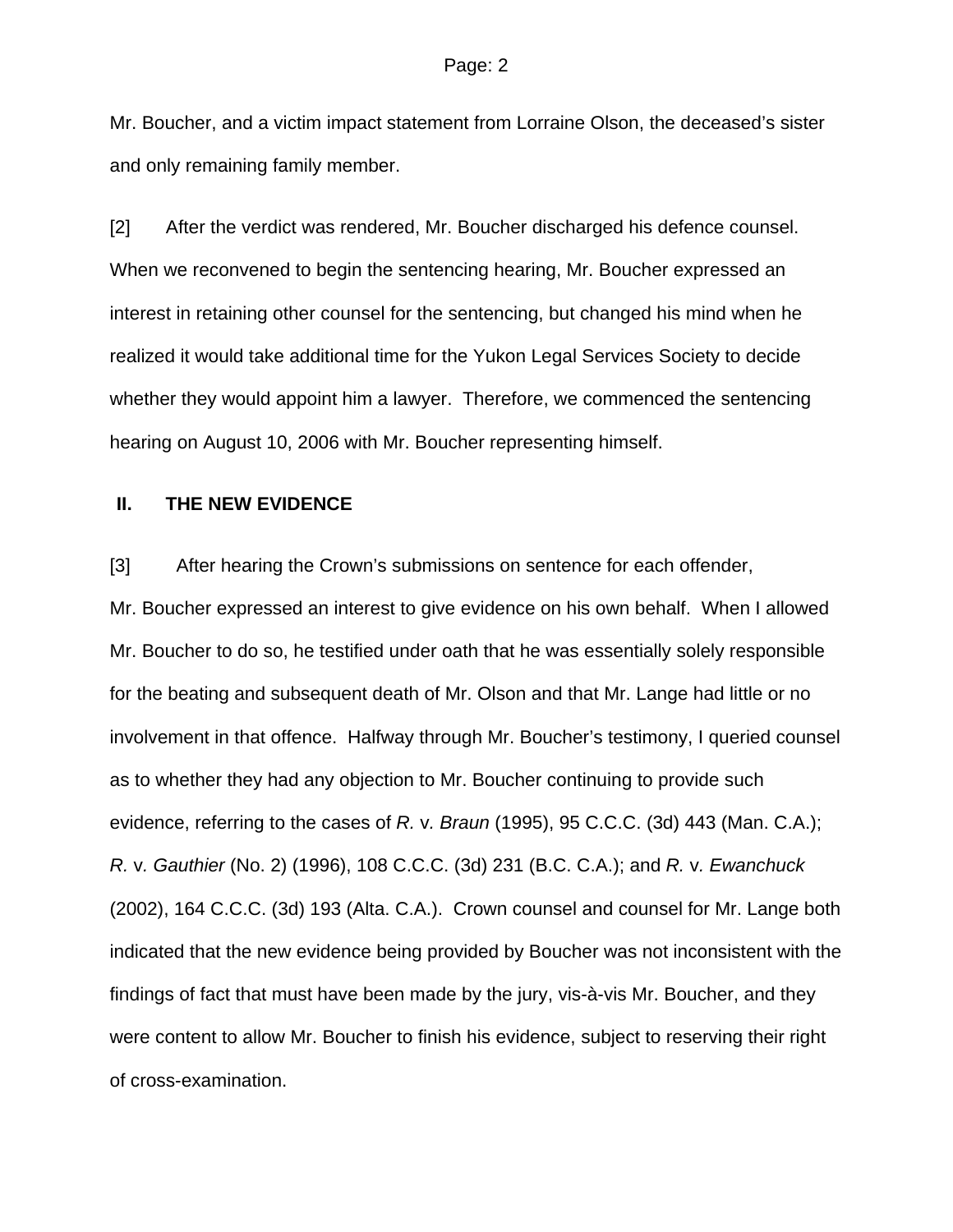Mr. Boucher, and a victim impact statement from Lorraine Olson, the deceased's sister and only remaining family member.

[2] After the verdict was rendered, Mr. Boucher discharged his defence counsel. When we reconvened to begin the sentencing hearing, Mr. Boucher expressed an interest in retaining other counsel for the sentencing, but changed his mind when he realized it would take additional time for the Yukon Legal Services Society to decide whether they would appoint him a lawyer. Therefore, we commenced the sentencing hearing on August 10, 2006 with Mr. Boucher representing himself.

### **II. THE NEW EVIDENCE**

[3] After hearing the Crown's submissions on sentence for each offender,

Mr. Boucher expressed an interest to give evidence on his own behalf. When I allowed Mr. Boucher to do so, he testified under oath that he was essentially solely responsible for the beating and subsequent death of Mr. Olson and that Mr. Lange had little or no involvement in that offence. Halfway through Mr. Boucher's testimony, I queried counsel as to whether they had any objection to Mr. Boucher continuing to provide such evidence, referring to the cases of *R.* v*. Braun* (1995), 95 C.C.C. (3d) 443 (Man. C.A.); *R.* v*. Gauthier* (No. 2) (1996), 108 C.C.C. (3d) 231 (B.C. C.A.); and *R.* v*. Ewanchuck* (2002), 164 C.C.C. (3d) 193 (Alta. C.A.). Crown counsel and counsel for Mr. Lange both indicated that the new evidence being provided by Boucher was not inconsistent with the findings of fact that must have been made by the jury, vis-à-vis Mr. Boucher, and they were content to allow Mr. Boucher to finish his evidence, subject to reserving their right of cross-examination.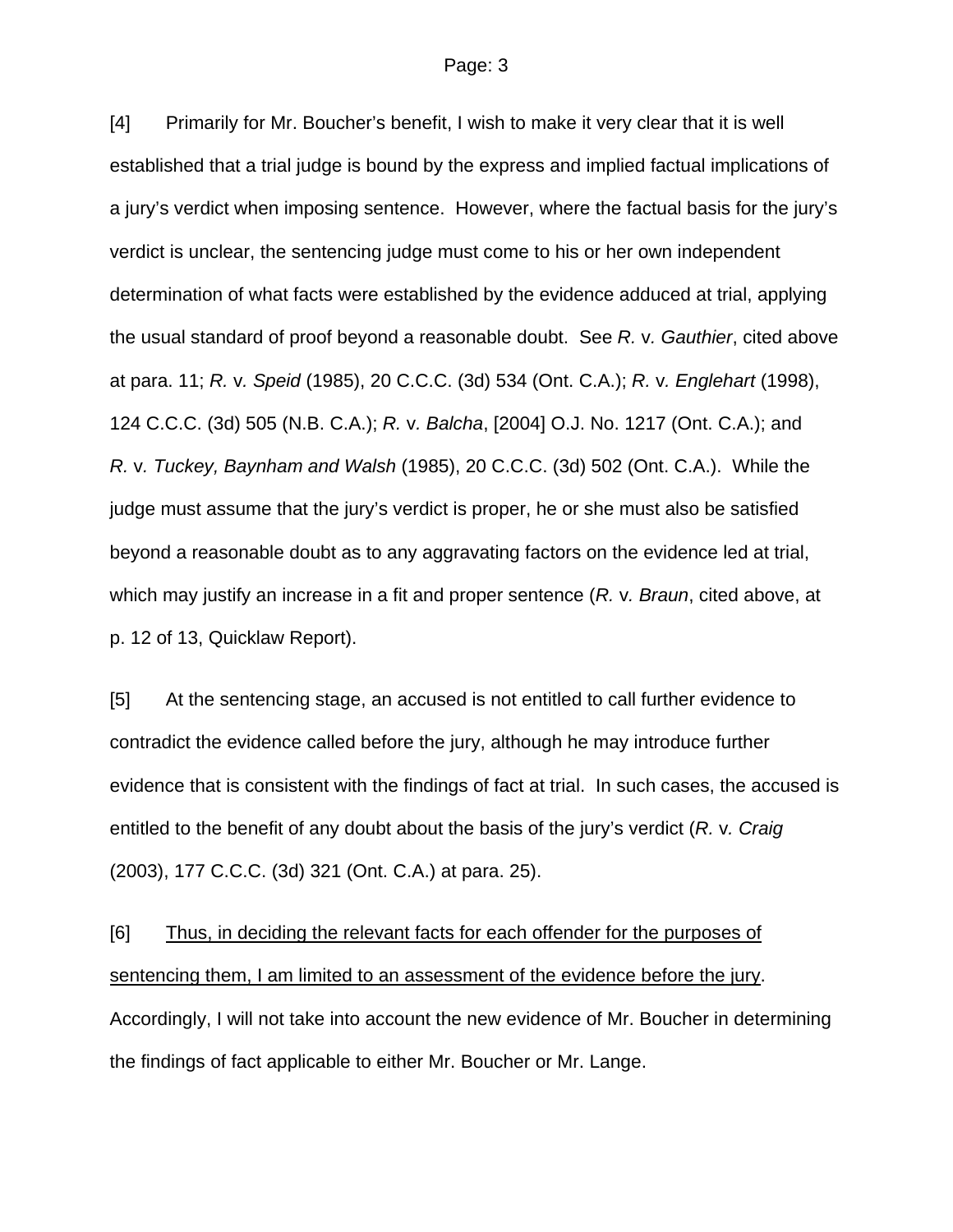[4] Primarily for Mr. Boucher's benefit, I wish to make it very clear that it is well established that a trial judge is bound by the express and implied factual implications of a jury's verdict when imposing sentence. However, where the factual basis for the jury's verdict is unclear, the sentencing judge must come to his or her own independent determination of what facts were established by the evidence adduced at trial, applying the usual standard of proof beyond a reasonable doubt. See *R.* v*. Gauthier*, cited above at para. 11; *R.* v*. Speid* (1985), 20 C.C.C. (3d) 534 (Ont. C.A.); *R.* v*. Englehart* (1998), 124 C.C.C. (3d) 505 (N.B. C.A.); *R.* v*. Balcha*, [2004] O.J. No. 1217 (Ont. C.A.); and *R.* v*. Tuckey, Baynham and Walsh* (1985), 20 C.C.C. (3d) 502 (Ont. C.A.). While the judge must assume that the jury's verdict is proper, he or she must also be satisfied beyond a reasonable doubt as to any aggravating factors on the evidence led at trial, which may justify an increase in a fit and proper sentence (*R.* v*. Braun*, cited above, at p. 12 of 13, Quicklaw Report).

[5] At the sentencing stage, an accused is not entitled to call further evidence to contradict the evidence called before the jury, although he may introduce further evidence that is consistent with the findings of fact at trial. In such cases, the accused is entitled to the benefit of any doubt about the basis of the jury's verdict (*R.* v*. Craig* (2003), 177 C.C.C. (3d) 321 (Ont. C.A.) at para. 25).

[6] Thus, in deciding the relevant facts for each offender for the purposes of sentencing them, I am limited to an assessment of the evidence before the jury. Accordingly, I will not take into account the new evidence of Mr. Boucher in determining the findings of fact applicable to either Mr. Boucher or Mr. Lange.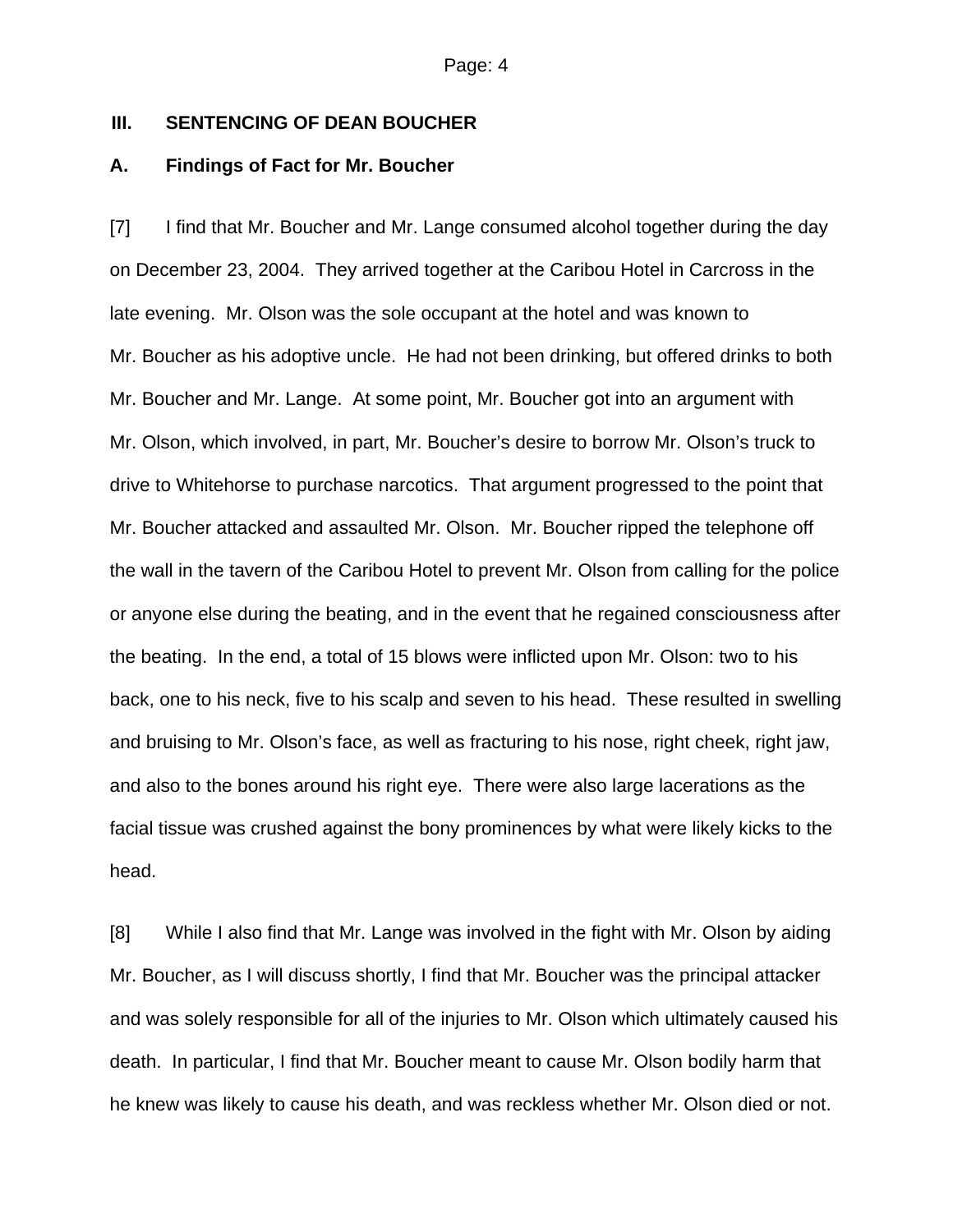## **III. SENTENCING OF DEAN BOUCHER**

### **A. Findings of Fact for Mr. Boucher**

[7] I find that Mr. Boucher and Mr. Lange consumed alcohol together during the day on December 23, 2004. They arrived together at the Caribou Hotel in Carcross in the late evening. Mr. Olson was the sole occupant at the hotel and was known to Mr. Boucher as his adoptive uncle. He had not been drinking, but offered drinks to both Mr. Boucher and Mr. Lange. At some point, Mr. Boucher got into an argument with Mr. Olson, which involved, in part, Mr. Boucher's desire to borrow Mr. Olson's truck to drive to Whitehorse to purchase narcotics. That argument progressed to the point that Mr. Boucher attacked and assaulted Mr. Olson. Mr. Boucher ripped the telephone off the wall in the tavern of the Caribou Hotel to prevent Mr. Olson from calling for the police or anyone else during the beating, and in the event that he regained consciousness after the beating. In the end, a total of 15 blows were inflicted upon Mr. Olson: two to his back, one to his neck, five to his scalp and seven to his head. These resulted in swelling and bruising to Mr. Olson's face, as well as fracturing to his nose, right cheek, right jaw, and also to the bones around his right eye. There were also large lacerations as the facial tissue was crushed against the bony prominences by what were likely kicks to the head.

[8] While I also find that Mr. Lange was involved in the fight with Mr. Olson by aiding Mr. Boucher, as I will discuss shortly, I find that Mr. Boucher was the principal attacker and was solely responsible for all of the injuries to Mr. Olson which ultimately caused his death. In particular, I find that Mr. Boucher meant to cause Mr. Olson bodily harm that he knew was likely to cause his death, and was reckless whether Mr. Olson died or not.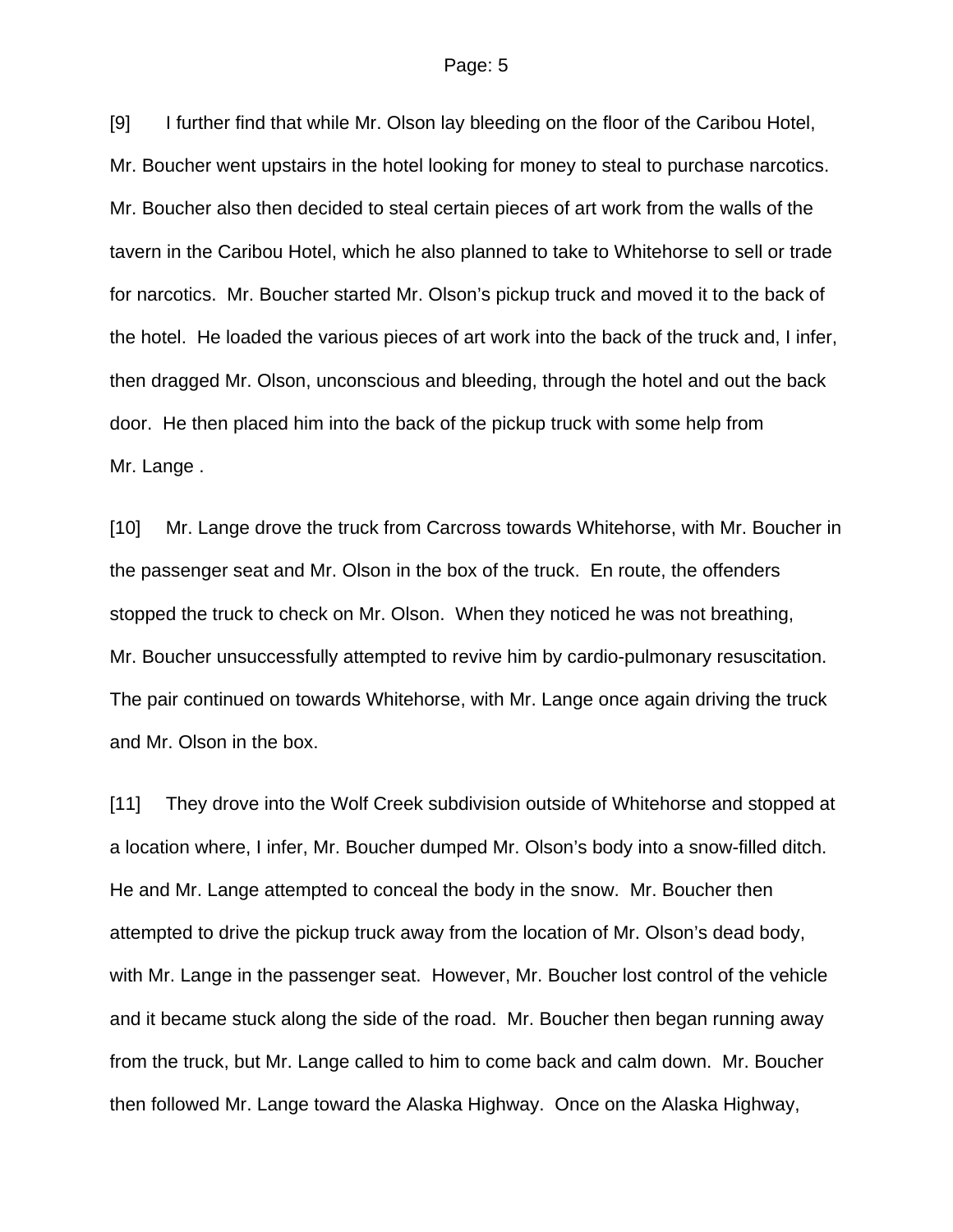[9] I further find that while Mr. Olson lay bleeding on the floor of the Caribou Hotel, Mr. Boucher went upstairs in the hotel looking for money to steal to purchase narcotics. Mr. Boucher also then decided to steal certain pieces of art work from the walls of the tavern in the Caribou Hotel, which he also planned to take to Whitehorse to sell or trade for narcotics. Mr. Boucher started Mr. Olson's pickup truck and moved it to the back of the hotel. He loaded the various pieces of art work into the back of the truck and, I infer, then dragged Mr. Olson, unconscious and bleeding, through the hotel and out the back door. He then placed him into the back of the pickup truck with some help from Mr. Lange .

[10] Mr. Lange drove the truck from Carcross towards Whitehorse, with Mr. Boucher in the passenger seat and Mr. Olson in the box of the truck. En route, the offenders stopped the truck to check on Mr. Olson. When they noticed he was not breathing, Mr. Boucher unsuccessfully attempted to revive him by cardio-pulmonary resuscitation. The pair continued on towards Whitehorse, with Mr. Lange once again driving the truck and Mr. Olson in the box.

[11] They drove into the Wolf Creek subdivision outside of Whitehorse and stopped at a location where, I infer, Mr. Boucher dumped Mr. Olson's body into a snow-filled ditch. He and Mr. Lange attempted to conceal the body in the snow. Mr. Boucher then attempted to drive the pickup truck away from the location of Mr. Olson's dead body, with Mr. Lange in the passenger seat. However, Mr. Boucher lost control of the vehicle and it became stuck along the side of the road. Mr. Boucher then began running away from the truck, but Mr. Lange called to him to come back and calm down. Mr. Boucher then followed Mr. Lange toward the Alaska Highway. Once on the Alaska Highway,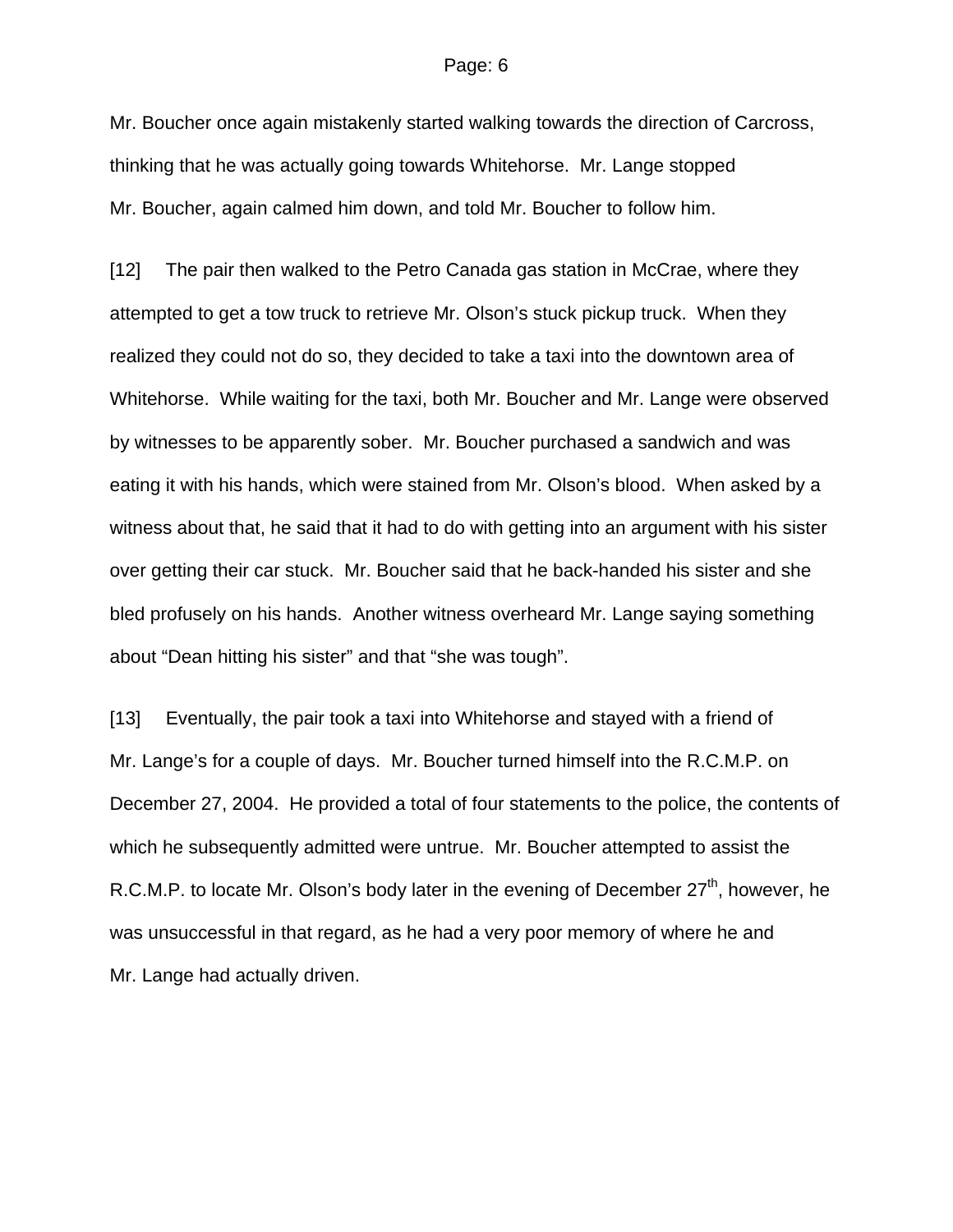Mr. Boucher once again mistakenly started walking towards the direction of Carcross, thinking that he was actually going towards Whitehorse. Mr. Lange stopped Mr. Boucher, again calmed him down, and told Mr. Boucher to follow him.

[12] The pair then walked to the Petro Canada gas station in McCrae, where they attempted to get a tow truck to retrieve Mr. Olson's stuck pickup truck. When they realized they could not do so, they decided to take a taxi into the downtown area of Whitehorse. While waiting for the taxi, both Mr. Boucher and Mr. Lange were observed by witnesses to be apparently sober. Mr. Boucher purchased a sandwich and was eating it with his hands, which were stained from Mr. Olson's blood. When asked by a witness about that, he said that it had to do with getting into an argument with his sister over getting their car stuck. Mr. Boucher said that he back-handed his sister and she bled profusely on his hands. Another witness overheard Mr. Lange saying something about "Dean hitting his sister" and that "she was tough".

[13] Eventually, the pair took a taxi into Whitehorse and stayed with a friend of Mr. Lange's for a couple of days. Mr. Boucher turned himself into the R.C.M.P. on December 27, 2004. He provided a total of four statements to the police, the contents of which he subsequently admitted were untrue. Mr. Boucher attempted to assist the R.C.M.P. to locate Mr. Olson's body later in the evening of December  $27<sup>th</sup>$ , however, he was unsuccessful in that regard, as he had a very poor memory of where he and Mr. Lange had actually driven.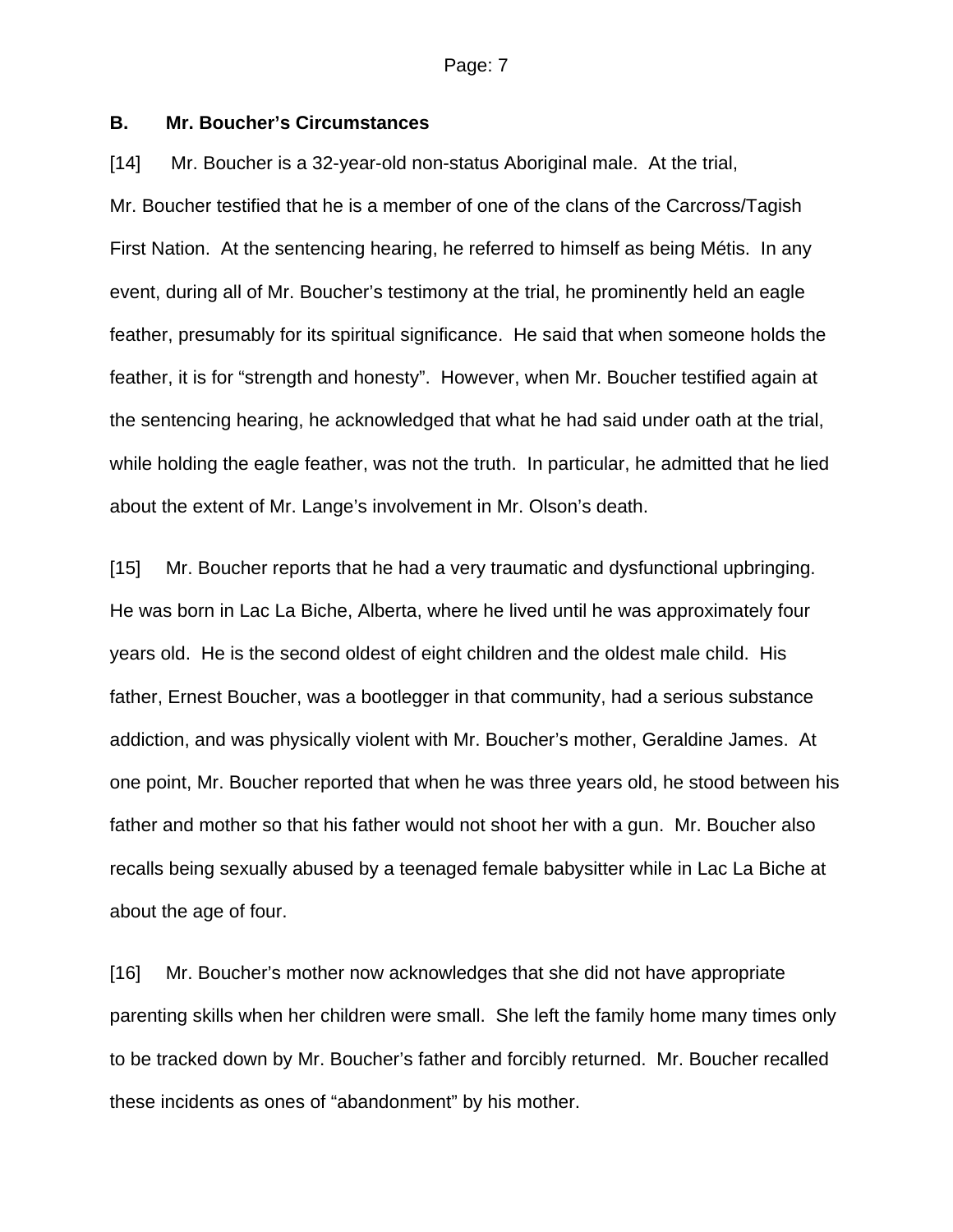## **B. Mr. Boucher's Circumstances**

[14] Mr. Boucher is a 32-year-old non-status Aboriginal male. At the trial, Mr. Boucher testified that he is a member of one of the clans of the Carcross/Tagish First Nation. At the sentencing hearing, he referred to himself as being Métis. In any event, during all of Mr. Boucher's testimony at the trial, he prominently held an eagle feather, presumably for its spiritual significance. He said that when someone holds the feather, it is for "strength and honesty". However, when Mr. Boucher testified again at the sentencing hearing, he acknowledged that what he had said under oath at the trial, while holding the eagle feather, was not the truth. In particular, he admitted that he lied about the extent of Mr. Lange's involvement in Mr. Olson's death.

[15] Mr. Boucher reports that he had a very traumatic and dysfunctional upbringing. He was born in Lac La Biche, Alberta, where he lived until he was approximately four years old. He is the second oldest of eight children and the oldest male child. His father, Ernest Boucher, was a bootlegger in that community, had a serious substance addiction, and was physically violent with Mr. Boucher's mother, Geraldine James. At one point, Mr. Boucher reported that when he was three years old, he stood between his father and mother so that his father would not shoot her with a gun. Mr. Boucher also recalls being sexually abused by a teenaged female babysitter while in Lac La Biche at about the age of four.

[16] Mr. Boucher's mother now acknowledges that she did not have appropriate parenting skills when her children were small. She left the family home many times only to be tracked down by Mr. Boucher's father and forcibly returned. Mr. Boucher recalled these incidents as ones of "abandonment" by his mother.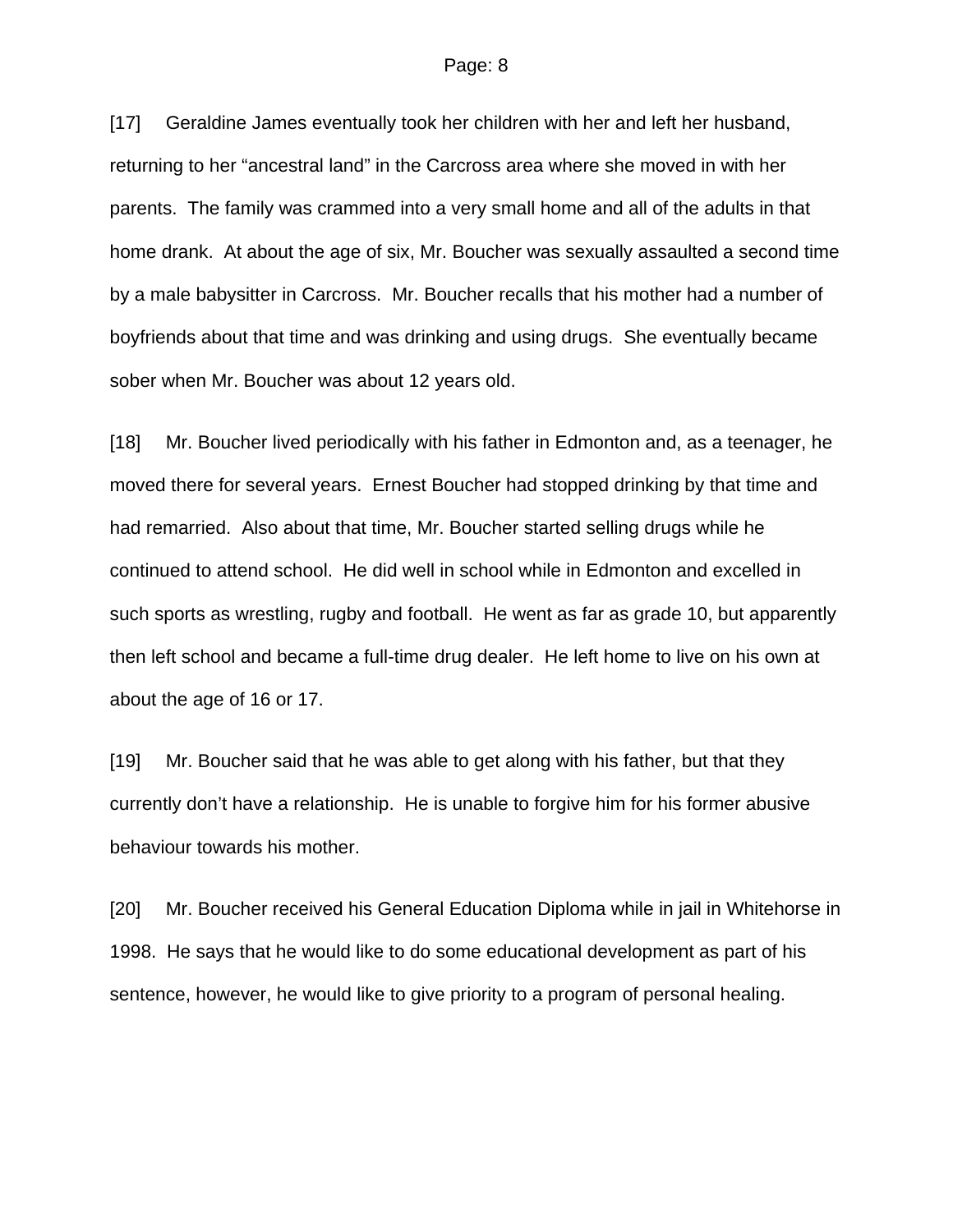[17] Geraldine James eventually took her children with her and left her husband, returning to her "ancestral land" in the Carcross area where she moved in with her parents. The family was crammed into a very small home and all of the adults in that home drank. At about the age of six, Mr. Boucher was sexually assaulted a second time by a male babysitter in Carcross. Mr. Boucher recalls that his mother had a number of boyfriends about that time and was drinking and using drugs. She eventually became sober when Mr. Boucher was about 12 years old.

[18] Mr. Boucher lived periodically with his father in Edmonton and, as a teenager, he moved there for several years. Ernest Boucher had stopped drinking by that time and had remarried. Also about that time, Mr. Boucher started selling drugs while he continued to attend school. He did well in school while in Edmonton and excelled in such sports as wrestling, rugby and football. He went as far as grade 10, but apparently then left school and became a full-time drug dealer. He left home to live on his own at about the age of 16 or 17.

[19] Mr. Boucher said that he was able to get along with his father, but that they currently don't have a relationship. He is unable to forgive him for his former abusive behaviour towards his mother.

[20] Mr. Boucher received his General Education Diploma while in jail in Whitehorse in 1998. He says that he would like to do some educational development as part of his sentence, however, he would like to give priority to a program of personal healing.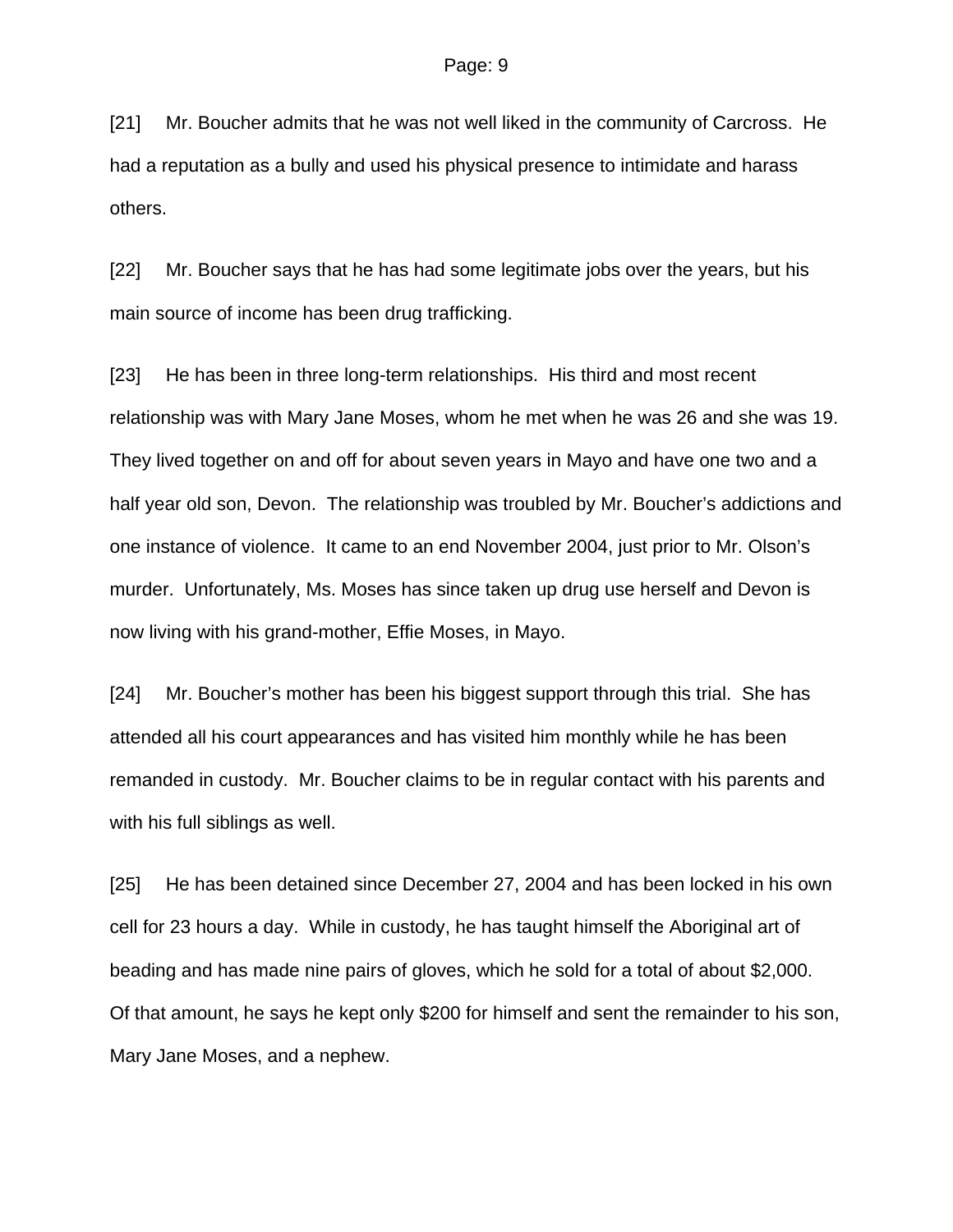[21] Mr. Boucher admits that he was not well liked in the community of Carcross. He had a reputation as a bully and used his physical presence to intimidate and harass others.

[22] Mr. Boucher says that he has had some legitimate jobs over the years, but his main source of income has been drug trafficking.

[23] He has been in three long-term relationships. His third and most recent relationship was with Mary Jane Moses, whom he met when he was 26 and she was 19. They lived together on and off for about seven years in Mayo and have one two and a half year old son, Devon. The relationship was troubled by Mr. Boucher's addictions and one instance of violence. It came to an end November 2004, just prior to Mr. Olson's murder. Unfortunately, Ms. Moses has since taken up drug use herself and Devon is now living with his grand-mother, Effie Moses, in Mayo.

[24] Mr. Boucher's mother has been his biggest support through this trial. She has attended all his court appearances and has visited him monthly while he has been remanded in custody. Mr. Boucher claims to be in regular contact with his parents and with his full siblings as well.

[25] He has been detained since December 27, 2004 and has been locked in his own cell for 23 hours a day. While in custody, he has taught himself the Aboriginal art of beading and has made nine pairs of gloves, which he sold for a total of about \$2,000. Of that amount, he says he kept only \$200 for himself and sent the remainder to his son, Mary Jane Moses, and a nephew.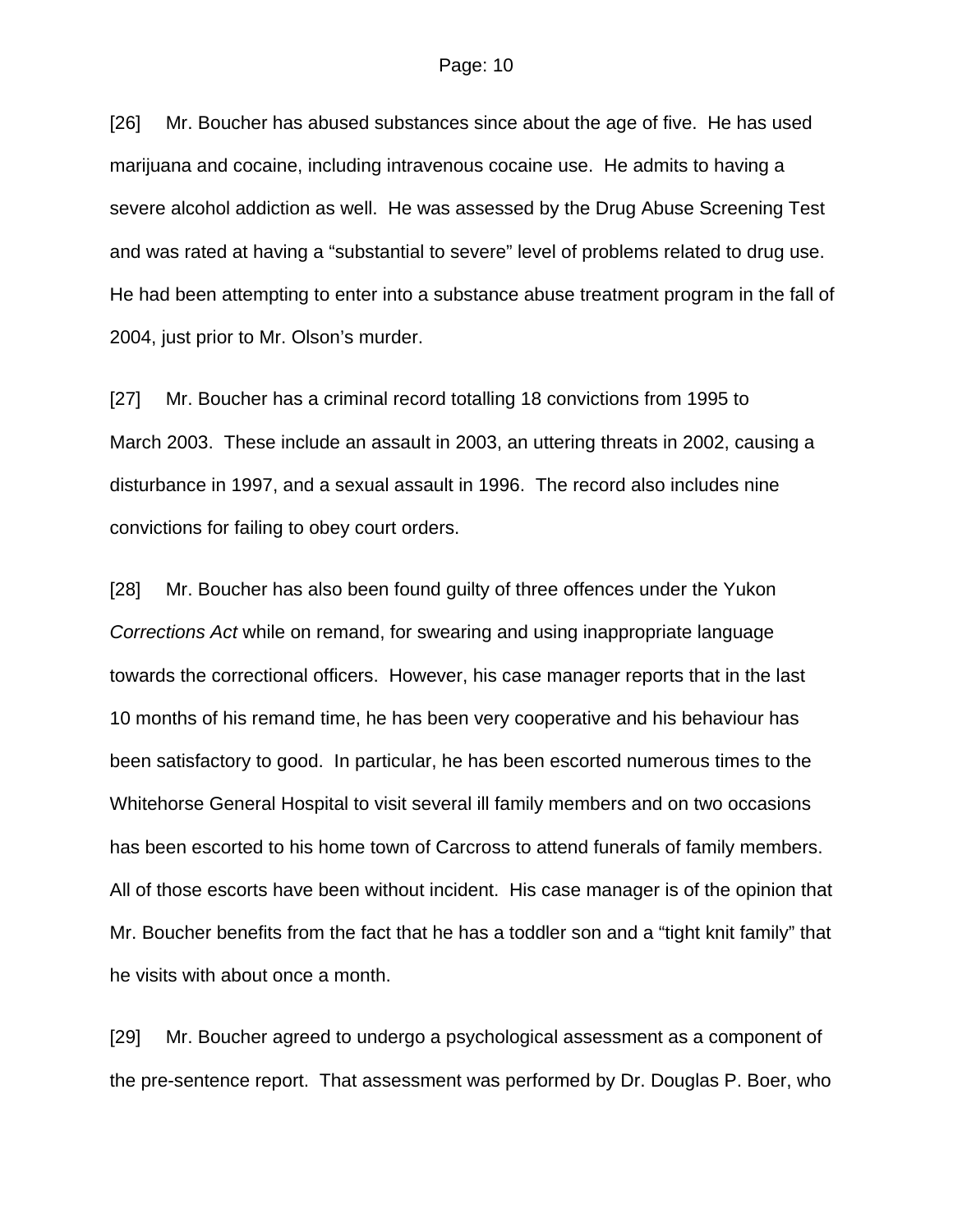[26] Mr. Boucher has abused substances since about the age of five. He has used marijuana and cocaine, including intravenous cocaine use. He admits to having a severe alcohol addiction as well. He was assessed by the Drug Abuse Screening Test and was rated at having a "substantial to severe" level of problems related to drug use. He had been attempting to enter into a substance abuse treatment program in the fall of 2004, just prior to Mr. Olson's murder.

[27] Mr. Boucher has a criminal record totalling 18 convictions from 1995 to March 2003. These include an assault in 2003, an uttering threats in 2002, causing a disturbance in 1997, and a sexual assault in 1996. The record also includes nine convictions for failing to obey court orders.

[28] Mr. Boucher has also been found guilty of three offences under the Yukon *Corrections Act* while on remand, for swearing and using inappropriate language towards the correctional officers. However, his case manager reports that in the last 10 months of his remand time, he has been very cooperative and his behaviour has been satisfactory to good. In particular, he has been escorted numerous times to the Whitehorse General Hospital to visit several ill family members and on two occasions has been escorted to his home town of Carcross to attend funerals of family members. All of those escorts have been without incident. His case manager is of the opinion that Mr. Boucher benefits from the fact that he has a toddler son and a "tight knit family" that he visits with about once a month.

[29] Mr. Boucher agreed to undergo a psychological assessment as a component of the pre-sentence report. That assessment was performed by Dr. Douglas P. Boer, who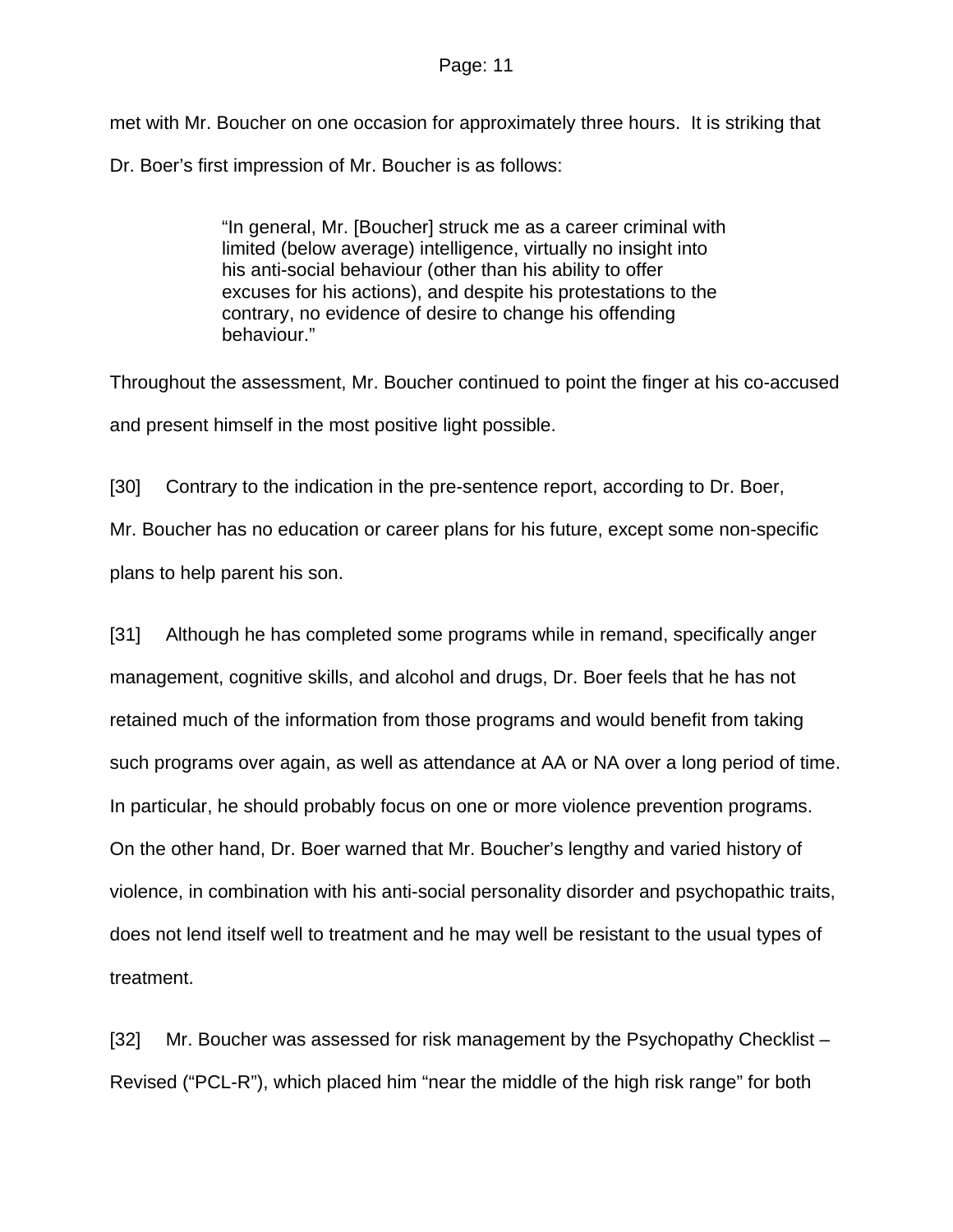met with Mr. Boucher on one occasion for approximately three hours. It is striking that Dr. Boer's first impression of Mr. Boucher is as follows:

> "In general, Mr. [Boucher] struck me as a career criminal with limited (below average) intelligence, virtually no insight into his anti-social behaviour (other than his ability to offer excuses for his actions), and despite his protestations to the contrary, no evidence of desire to change his offending behaviour."

Throughout the assessment, Mr. Boucher continued to point the finger at his co-accused and present himself in the most positive light possible.

[30] Contrary to the indication in the pre-sentence report, according to Dr. Boer, Mr. Boucher has no education or career plans for his future, except some non-specific plans to help parent his son.

[31] Although he has completed some programs while in remand, specifically anger management, cognitive skills, and alcohol and drugs, Dr. Boer feels that he has not retained much of the information from those programs and would benefit from taking such programs over again, as well as attendance at AA or NA over a long period of time. In particular, he should probably focus on one or more violence prevention programs. On the other hand, Dr. Boer warned that Mr. Boucher's lengthy and varied history of violence, in combination with his anti-social personality disorder and psychopathic traits, does not lend itself well to treatment and he may well be resistant to the usual types of treatment.

[32] Mr. Boucher was assessed for risk management by the Psychopathy Checklist – Revised ("PCL-R"), which placed him "near the middle of the high risk range" for both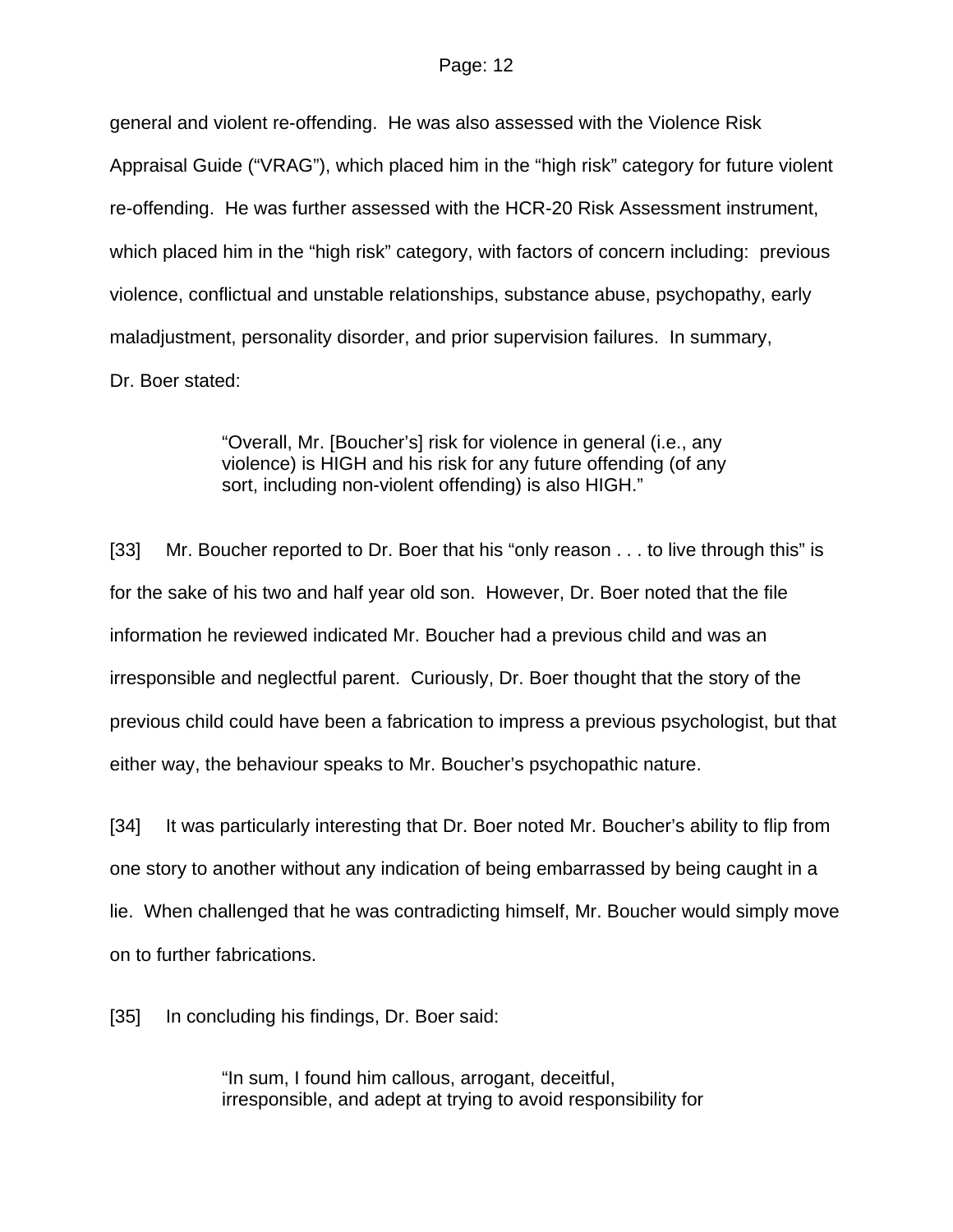general and violent re-offending. He was also assessed with the Violence Risk Appraisal Guide ("VRAG"), which placed him in the "high risk" category for future violent re-offending. He was further assessed with the HCR-20 Risk Assessment instrument, which placed him in the "high risk" category, with factors of concern including: previous violence, conflictual and unstable relationships, substance abuse, psychopathy, early maladjustment, personality disorder, and prior supervision failures. In summary, Dr. Boer stated:

> "Overall, Mr. [Boucher's] risk for violence in general (i.e., any violence) is HIGH and his risk for any future offending (of any sort, including non-violent offending) is also HIGH."

[33] Mr. Boucher reported to Dr. Boer that his "only reason . . . to live through this" is for the sake of his two and half year old son. However, Dr. Boer noted that the file information he reviewed indicated Mr. Boucher had a previous child and was an irresponsible and neglectful parent. Curiously, Dr. Boer thought that the story of the previous child could have been a fabrication to impress a previous psychologist, but that either way, the behaviour speaks to Mr. Boucher's psychopathic nature.

[34] It was particularly interesting that Dr. Boer noted Mr. Boucher's ability to flip from one story to another without any indication of being embarrassed by being caught in a lie. When challenged that he was contradicting himself, Mr. Boucher would simply move on to further fabrications.

[35] In concluding his findings, Dr. Boer said:

"In sum, I found him callous, arrogant, deceitful, irresponsible, and adept at trying to avoid responsibility for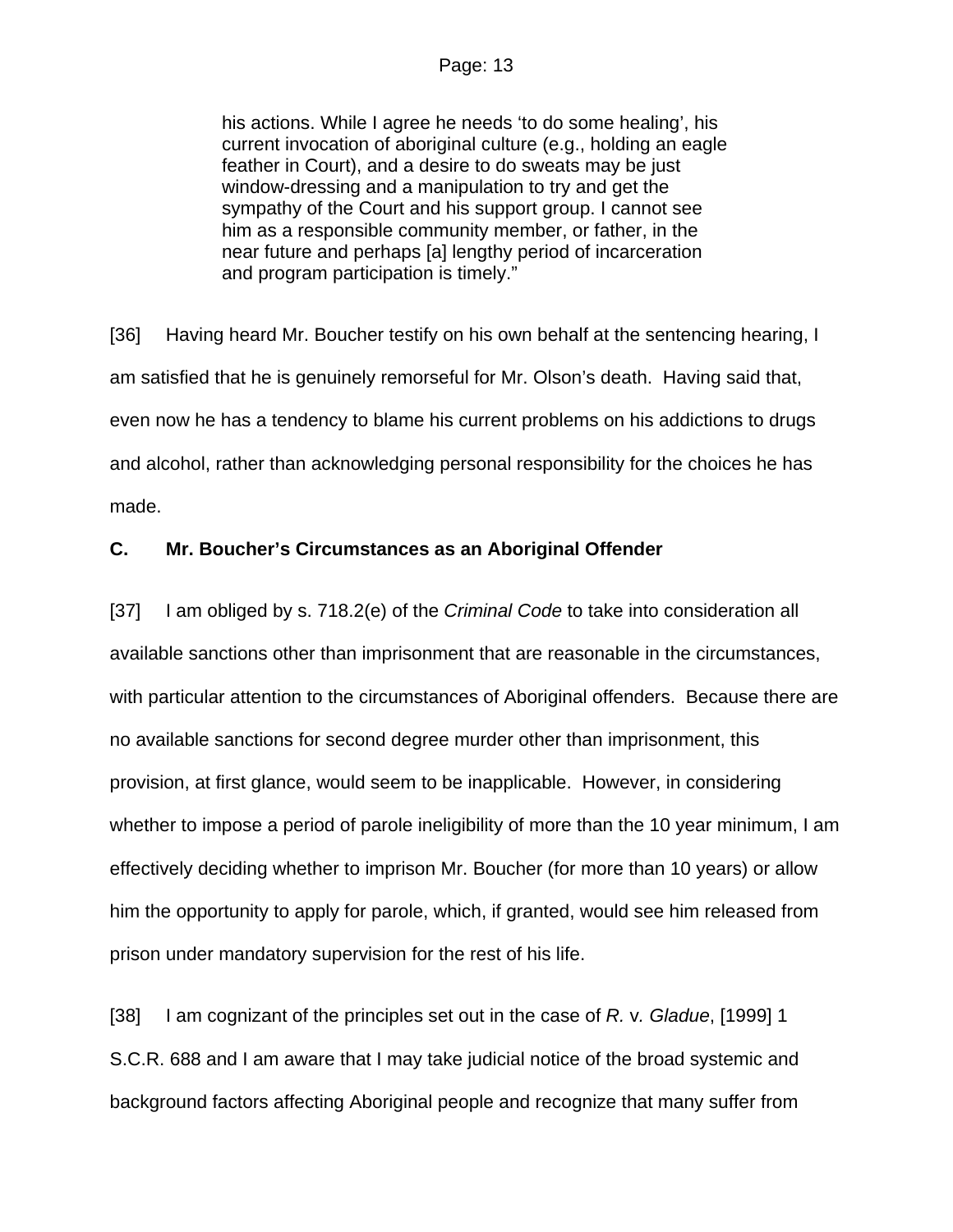his actions. While I agree he needs 'to do some healing', his current invocation of aboriginal culture (e.g., holding an eagle feather in Court), and a desire to do sweats may be just window-dressing and a manipulation to try and get the sympathy of the Court and his support group. I cannot see him as a responsible community member, or father, in the near future and perhaps [a] lengthy period of incarceration and program participation is timely."

[36] Having heard Mr. Boucher testify on his own behalf at the sentencing hearing, I am satisfied that he is genuinely remorseful for Mr. Olson's death. Having said that, even now he has a tendency to blame his current problems on his addictions to drugs and alcohol, rather than acknowledging personal responsibility for the choices he has made.

## **C. Mr. Boucher's Circumstances as an Aboriginal Offender**

[37] I am obliged by s. 718.2(e) of the *Criminal Code* to take into consideration all available sanctions other than imprisonment that are reasonable in the circumstances, with particular attention to the circumstances of Aboriginal offenders. Because there are no available sanctions for second degree murder other than imprisonment, this provision, at first glance, would seem to be inapplicable. However, in considering whether to impose a period of parole ineligibility of more than the 10 year minimum, I am effectively deciding whether to imprison Mr. Boucher (for more than 10 years) or allow him the opportunity to apply for parole, which, if granted, would see him released from prison under mandatory supervision for the rest of his life.

[38] I am cognizant of the principles set out in the case of *R.* v*. Gladue*, [1999] 1 S.C.R. 688 and I am aware that I may take judicial notice of the broad systemic and background factors affecting Aboriginal people and recognize that many suffer from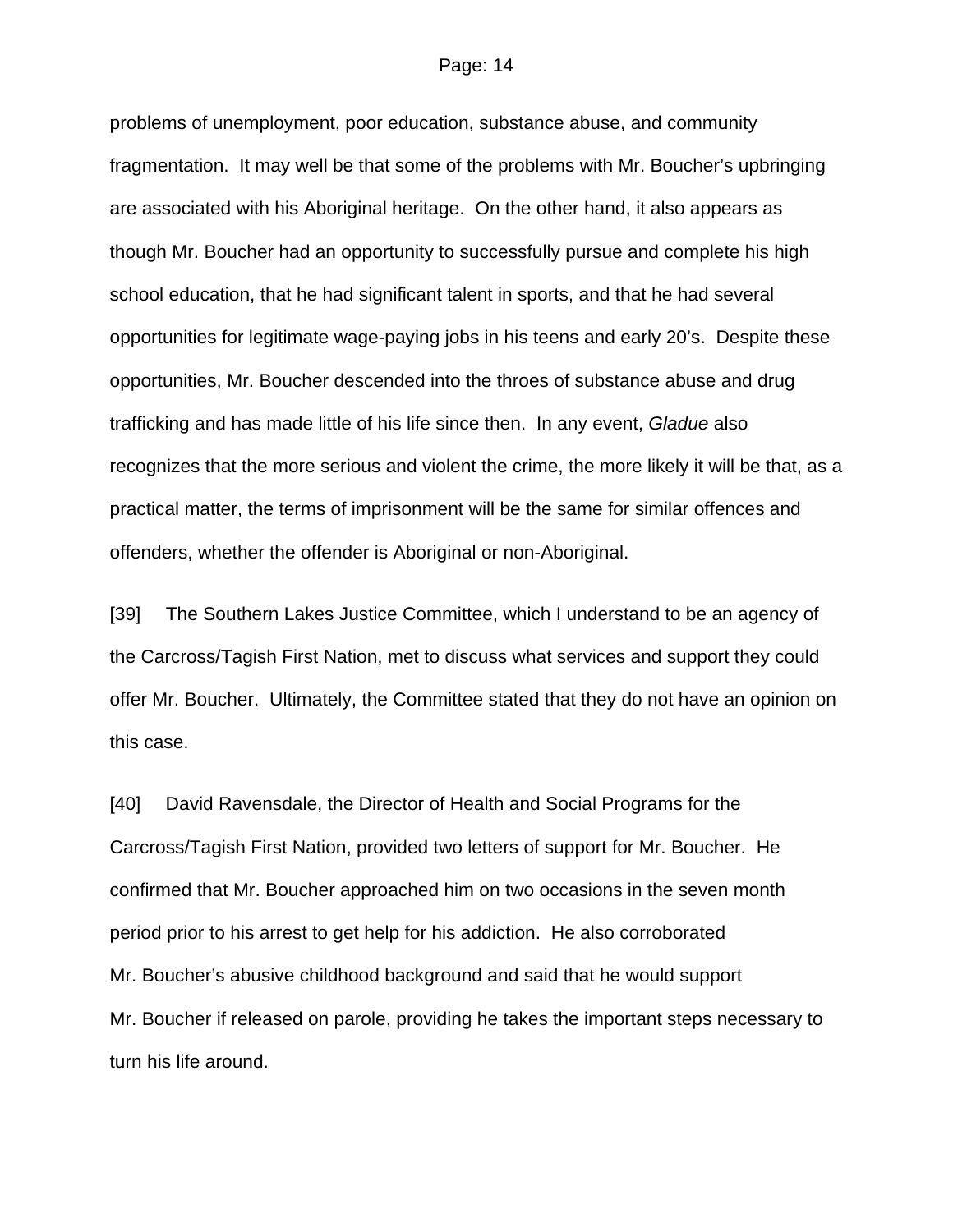problems of unemployment, poor education, substance abuse, and community fragmentation. It may well be that some of the problems with Mr. Boucher's upbringing are associated with his Aboriginal heritage. On the other hand, it also appears as though Mr. Boucher had an opportunity to successfully pursue and complete his high school education, that he had significant talent in sports, and that he had several opportunities for legitimate wage-paying jobs in his teens and early 20's. Despite these opportunities, Mr. Boucher descended into the throes of substance abuse and drug trafficking and has made little of his life since then. In any event, *Gladue* also recognizes that the more serious and violent the crime, the more likely it will be that, as a practical matter, the terms of imprisonment will be the same for similar offences and offenders, whether the offender is Aboriginal or non-Aboriginal.

[39] The Southern Lakes Justice Committee, which I understand to be an agency of the Carcross/Tagish First Nation, met to discuss what services and support they could offer Mr. Boucher. Ultimately, the Committee stated that they do not have an opinion on this case.

[40] David Ravensdale, the Director of Health and Social Programs for the Carcross/Tagish First Nation, provided two letters of support for Mr. Boucher. He confirmed that Mr. Boucher approached him on two occasions in the seven month period prior to his arrest to get help for his addiction. He also corroborated Mr. Boucher's abusive childhood background and said that he would support Mr. Boucher if released on parole, providing he takes the important steps necessary to turn his life around.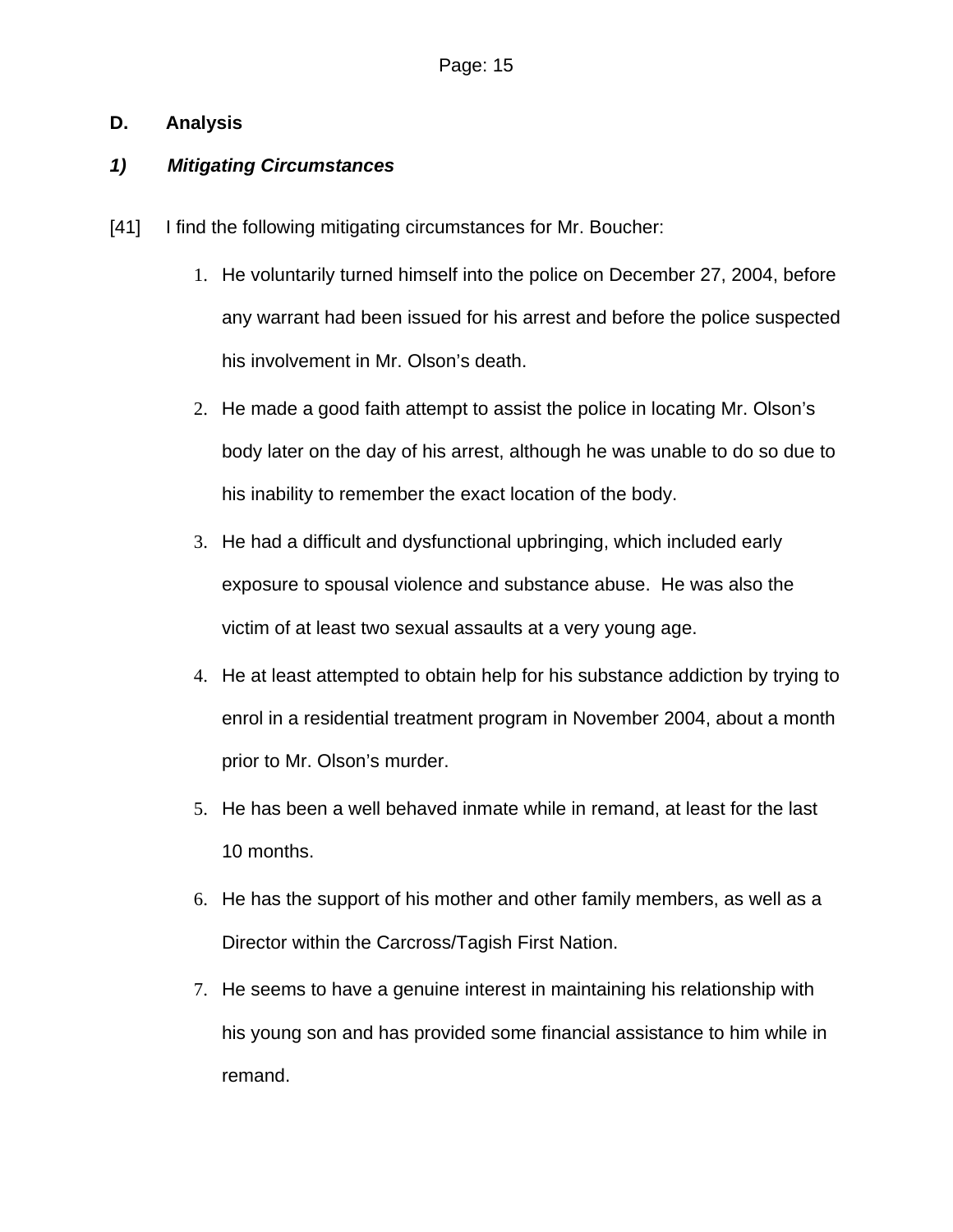# **D. Analysis**

# *1) Mitigating Circumstances*

- [41] I find the following mitigating circumstances for Mr. Boucher:
	- 1. He voluntarily turned himself into the police on December 27, 2004, before any warrant had been issued for his arrest and before the police suspected his involvement in Mr. Olson's death.
	- 2. He made a good faith attempt to assist the police in locating Mr. Olson's body later on the day of his arrest, although he was unable to do so due to his inability to remember the exact location of the body.
	- 3. He had a difficult and dysfunctional upbringing, which included early exposure to spousal violence and substance abuse. He was also the victim of at least two sexual assaults at a very young age.
	- 4. He at least attempted to obtain help for his substance addiction by trying to enrol in a residential treatment program in November 2004, about a month prior to Mr. Olson's murder.
	- 5. He has been a well behaved inmate while in remand, at least for the last 10 months.
	- 6. He has the support of his mother and other family members, as well as a Director within the Carcross/Tagish First Nation.
	- 7. He seems to have a genuine interest in maintaining his relationship with his young son and has provided some financial assistance to him while in remand.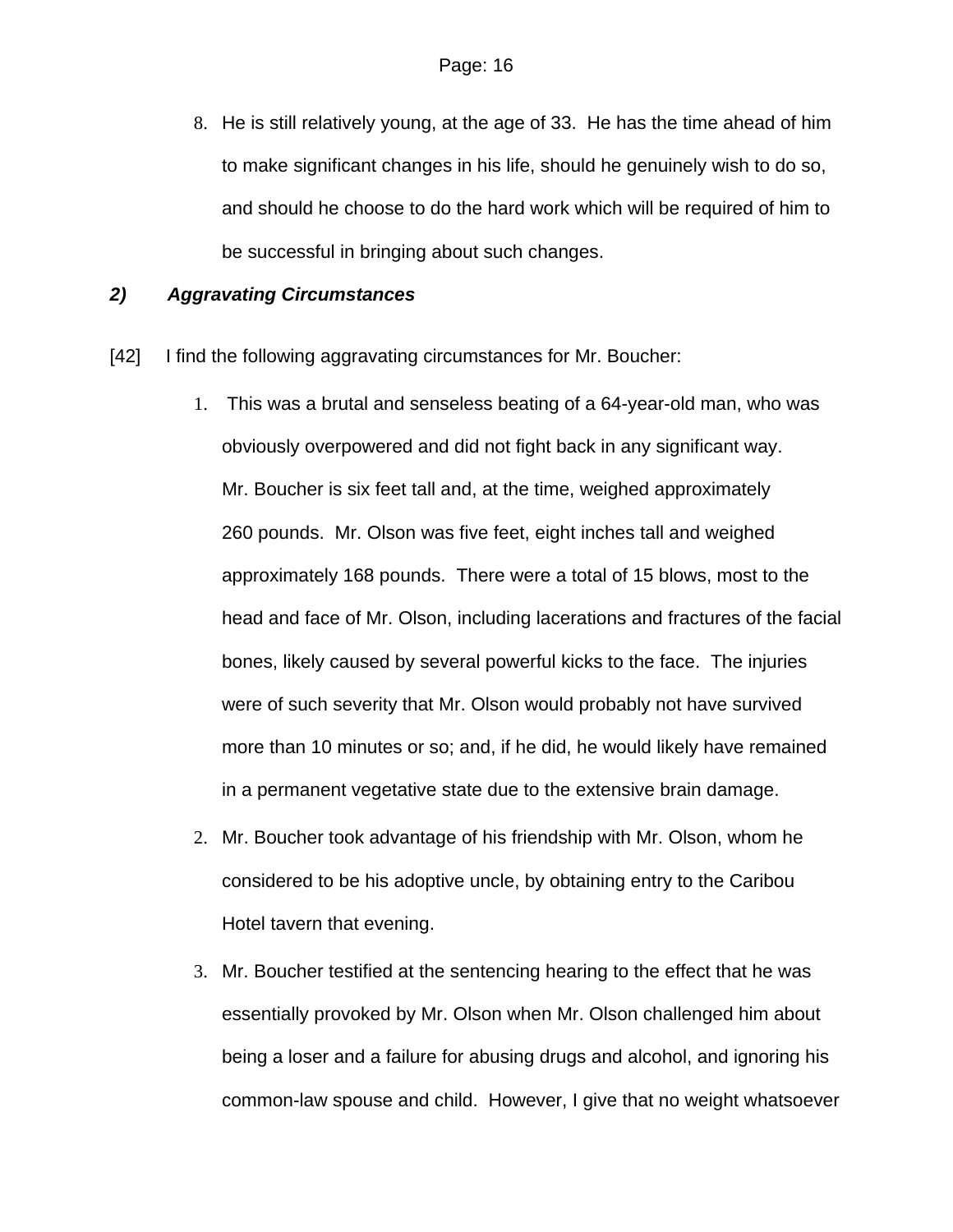8. He is still relatively young, at the age of 33. He has the time ahead of him to make significant changes in his life, should he genuinely wish to do so, and should he choose to do the hard work which will be required of him to be successful in bringing about such changes.

## *2) Aggravating Circumstances*

- [42] I find the following aggravating circumstances for Mr. Boucher:
	- 1. This was a brutal and senseless beating of a 64-year-old man, who was obviously overpowered and did not fight back in any significant way. Mr. Boucher is six feet tall and, at the time, weighed approximately 260 pounds. Mr. Olson was five feet, eight inches tall and weighed approximately 168 pounds. There were a total of 15 blows, most to the head and face of Mr. Olson, including lacerations and fractures of the facial bones, likely caused by several powerful kicks to the face. The injuries were of such severity that Mr. Olson would probably not have survived more than 10 minutes or so; and, if he did, he would likely have remained in a permanent vegetative state due to the extensive brain damage.
	- 2. Mr. Boucher took advantage of his friendship with Mr. Olson, whom he considered to be his adoptive uncle, by obtaining entry to the Caribou Hotel tavern that evening.
	- 3. Mr. Boucher testified at the sentencing hearing to the effect that he was essentially provoked by Mr. Olson when Mr. Olson challenged him about being a loser and a failure for abusing drugs and alcohol, and ignoring his common-law spouse and child. However, I give that no weight whatsoever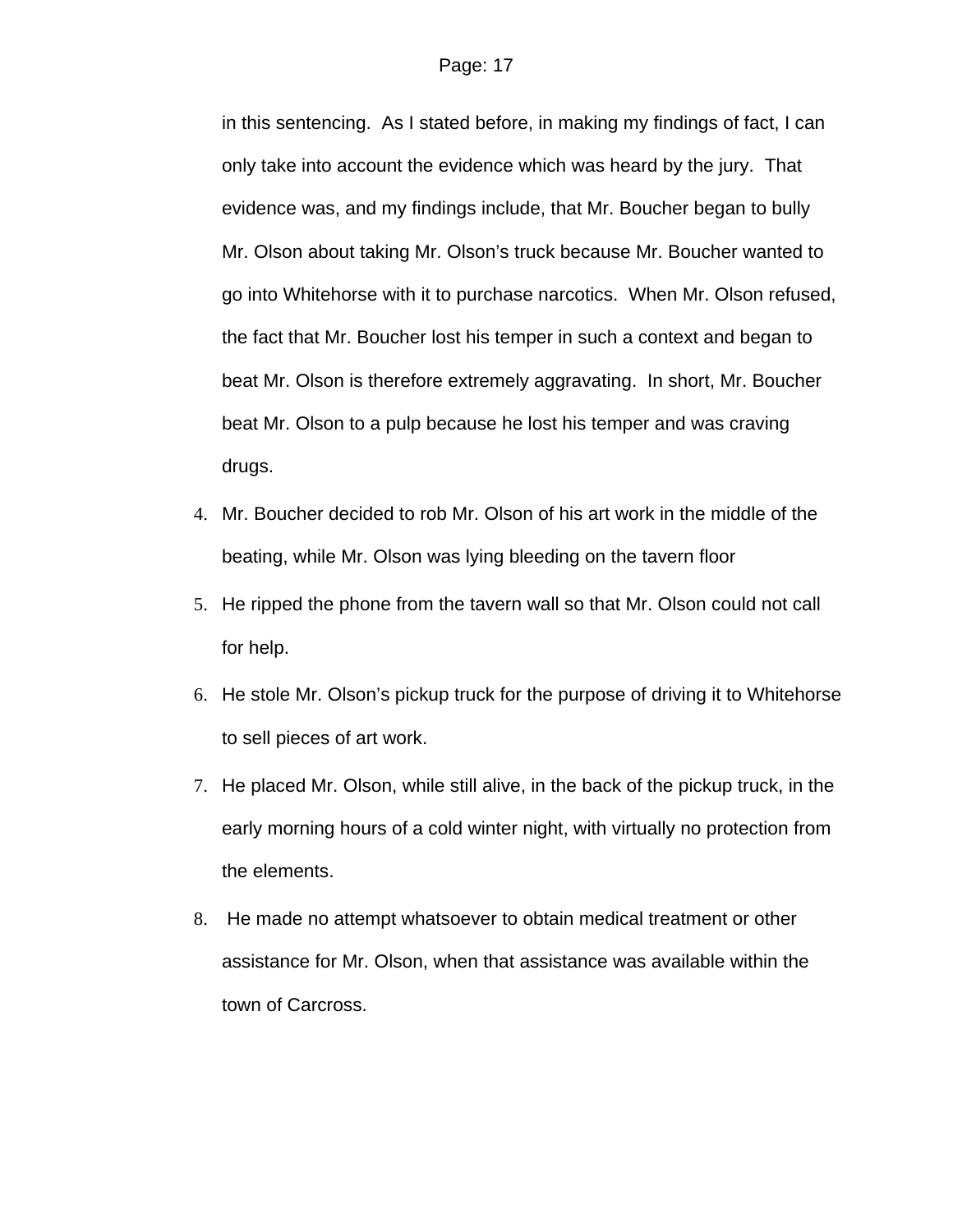in this sentencing. As I stated before, in making my findings of fact, I can only take into account the evidence which was heard by the jury. That evidence was, and my findings include, that Mr. Boucher began to bully Mr. Olson about taking Mr. Olson's truck because Mr. Boucher wanted to go into Whitehorse with it to purchase narcotics. When Mr. Olson refused, the fact that Mr. Boucher lost his temper in such a context and began to beat Mr. Olson is therefore extremely aggravating. In short, Mr. Boucher beat Mr. Olson to a pulp because he lost his temper and was craving drugs.

- 4. Mr. Boucher decided to rob Mr. Olson of his art work in the middle of the beating, while Mr. Olson was lying bleeding on the tavern floor
- 5. He ripped the phone from the tavern wall so that Mr. Olson could not call for help.
- 6. He stole Mr. Olson's pickup truck for the purpose of driving it to Whitehorse to sell pieces of art work.
- 7. He placed Mr. Olson, while still alive, in the back of the pickup truck, in the early morning hours of a cold winter night, with virtually no protection from the elements.
- 8. He made no attempt whatsoever to obtain medical treatment or other assistance for Mr. Olson, when that assistance was available within the town of Carcross.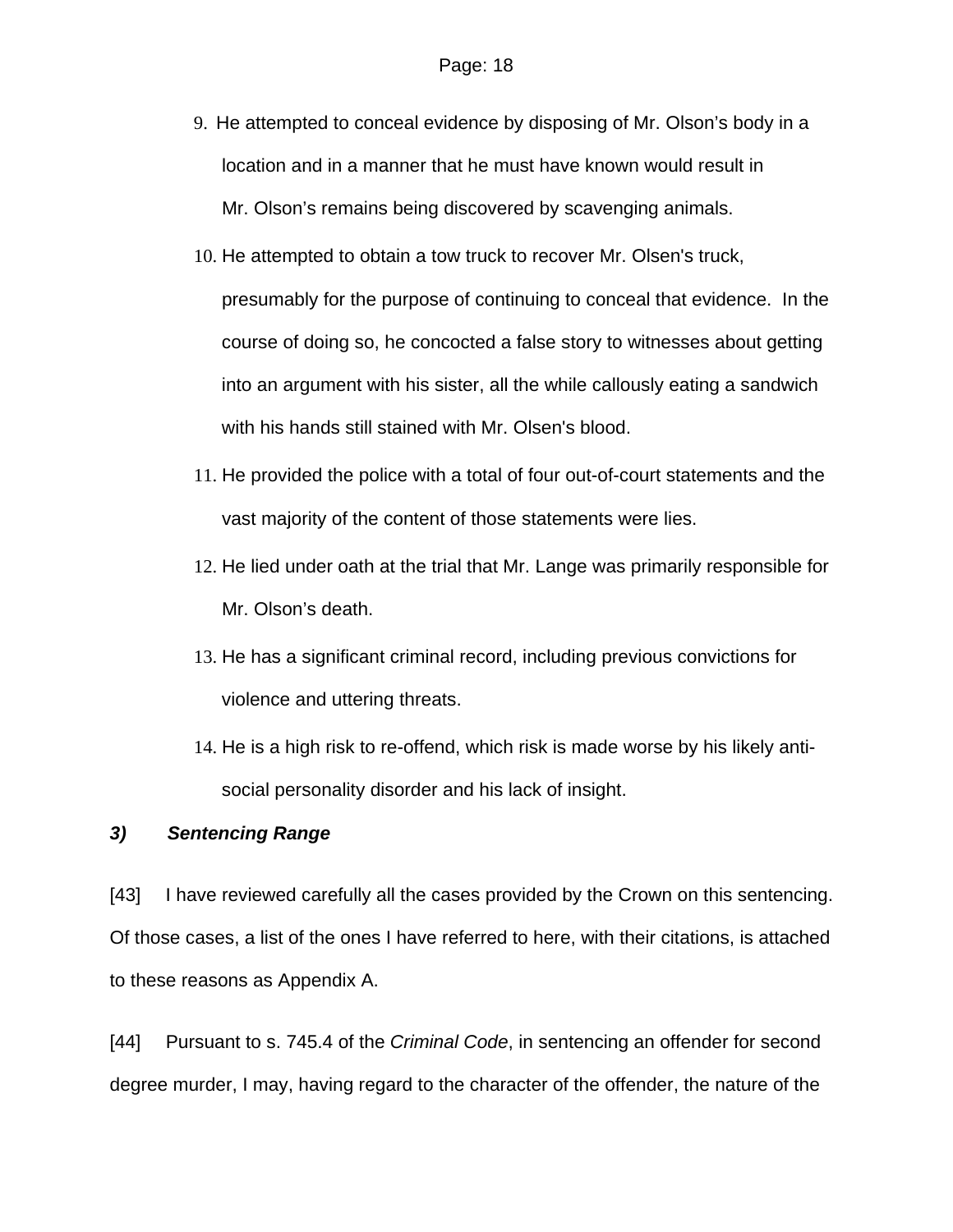- 9. He attempted to conceal evidence by disposing of Mr. Olson's body in a location and in a manner that he must have known would result in Mr. Olson's remains being discovered by scavenging animals.
- 10. He attempted to obtain a tow truck to recover Mr. Olsen's truck, presumably for the purpose of continuing to conceal that evidence. In the course of doing so, he concocted a false story to witnesses about getting into an argument with his sister, all the while callously eating a sandwich with his hands still stained with Mr. Olsen's blood.
- 11. He provided the police with a total of four out-of-court statements and the vast majority of the content of those statements were lies.
- 12. He lied under oath at the trial that Mr. Lange was primarily responsible for Mr. Olson's death.
- 13. He has a significant criminal record, including previous convictions for violence and uttering threats.
- 14. He is a high risk to re-offend, which risk is made worse by his likely antisocial personality disorder and his lack of insight.

## *3) Sentencing Range*

[43] I have reviewed carefully all the cases provided by the Crown on this sentencing. Of those cases, a list of the ones I have referred to here, with their citations, is attached to these reasons as Appendix A.

[44] Pursuant to s. 745.4 of the *Criminal Code*, in sentencing an offender for second degree murder, I may, having regard to the character of the offender, the nature of the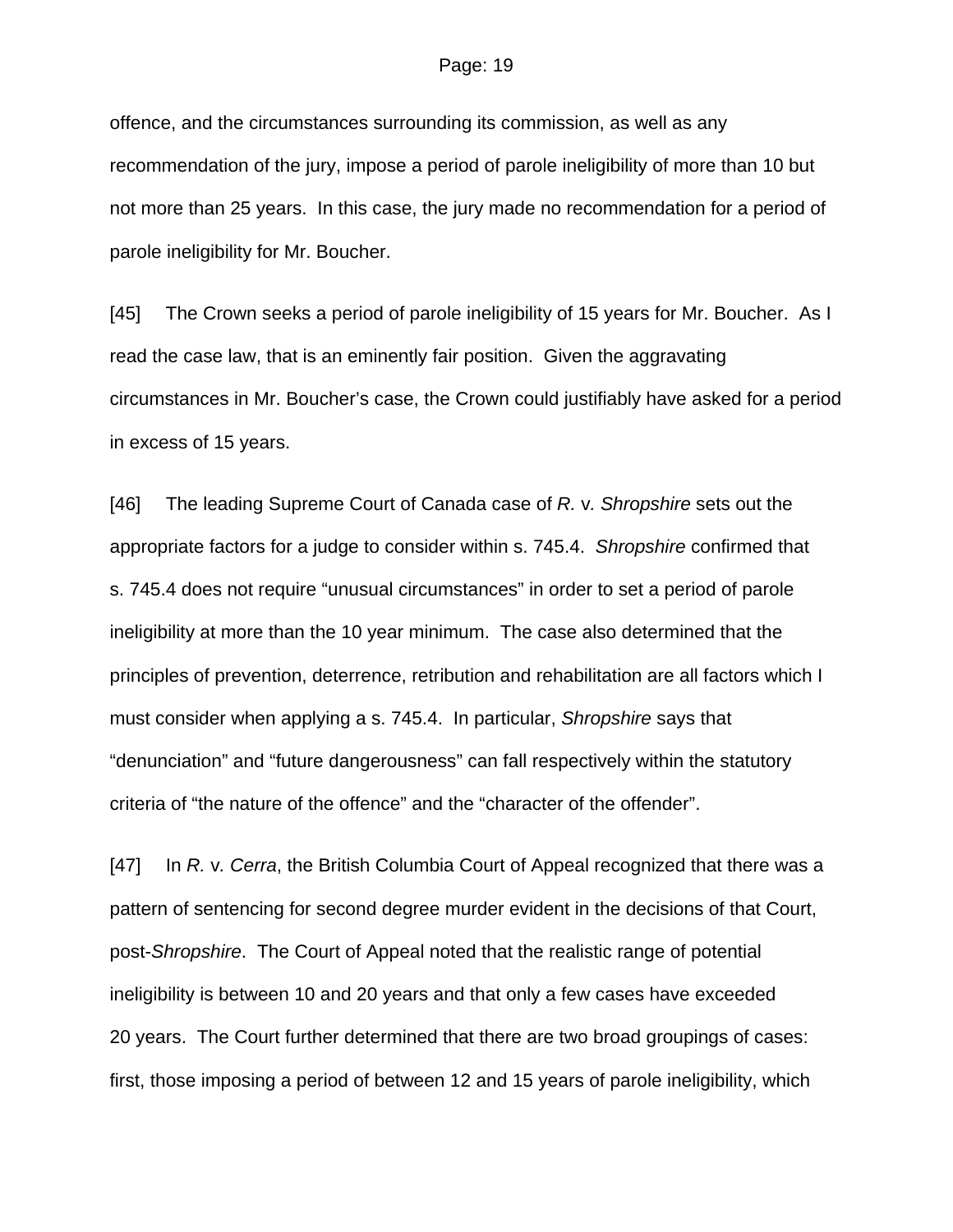offence, and the circumstances surrounding its commission, as well as any recommendation of the jury, impose a period of parole ineligibility of more than 10 but not more than 25 years. In this case, the jury made no recommendation for a period of parole ineligibility for Mr. Boucher.

[45] The Crown seeks a period of parole ineligibility of 15 years for Mr. Boucher. As I read the case law, that is an eminently fair position. Given the aggravating circumstances in Mr. Boucher's case, the Crown could justifiably have asked for a period in excess of 15 years.

[46] The leading Supreme Court of Canada case of *R.* v*. Shropshire* sets out the appropriate factors for a judge to consider within s. 745.4. *Shropshire* confirmed that s. 745.4 does not require "unusual circumstances" in order to set a period of parole ineligibility at more than the 10 year minimum. The case also determined that the principles of prevention, deterrence, retribution and rehabilitation are all factors which I must consider when applying a s. 745.4. In particular, *Shropshire* says that "denunciation" and "future dangerousness" can fall respectively within the statutory criteria of "the nature of the offence" and the "character of the offender".

[47] In *R.* v*. Cerra*, the British Columbia Court of Appeal recognized that there was a pattern of sentencing for second degree murder evident in the decisions of that Court, post-*Shropshire*. The Court of Appeal noted that the realistic range of potential ineligibility is between 10 and 20 years and that only a few cases have exceeded 20 years. The Court further determined that there are two broad groupings of cases: first, those imposing a period of between 12 and 15 years of parole ineligibility, which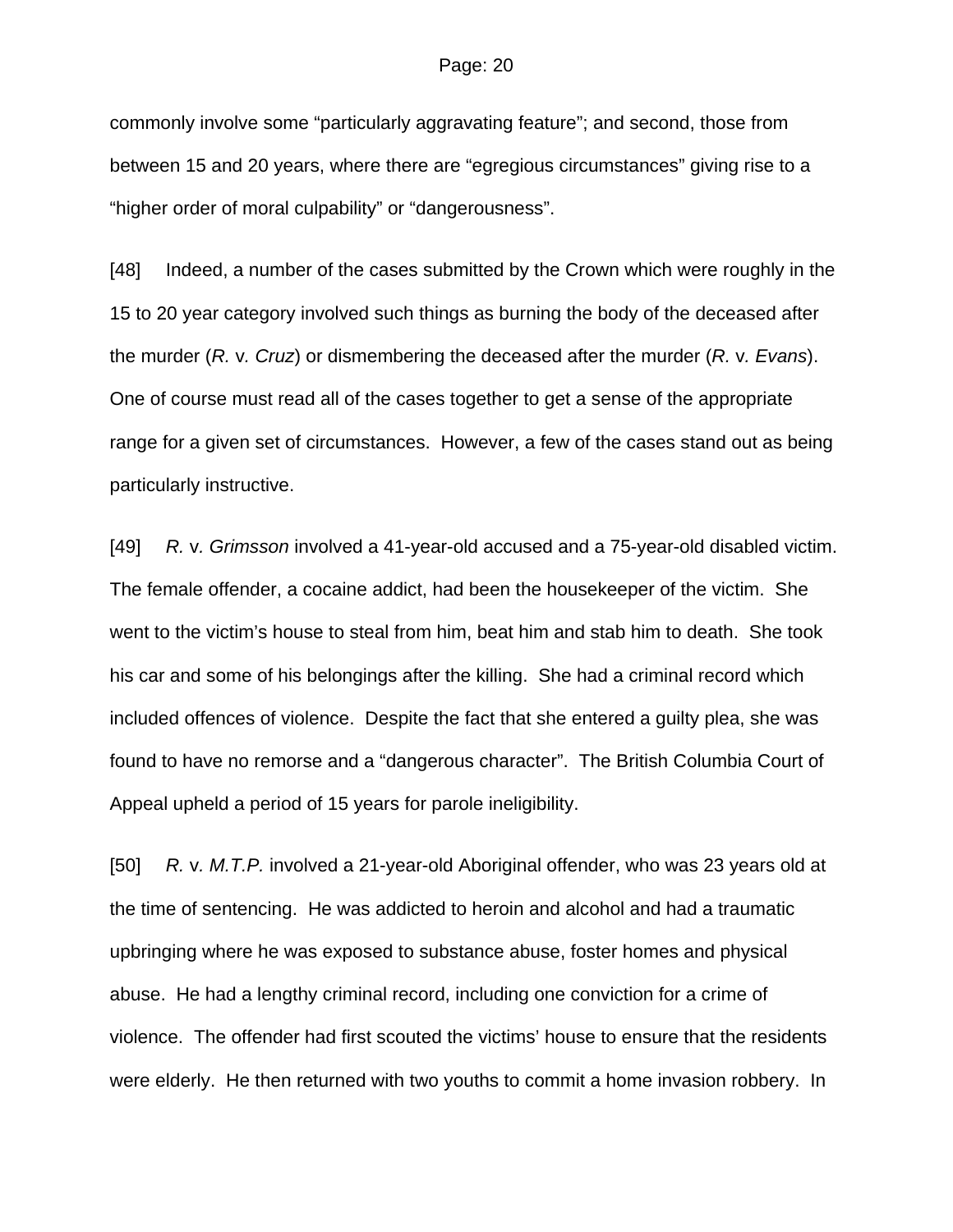commonly involve some "particularly aggravating feature"; and second, those from between 15 and 20 years, where there are "egregious circumstances" giving rise to a "higher order of moral culpability" or "dangerousness".

[48] Indeed, a number of the cases submitted by the Crown which were roughly in the 15 to 20 year category involved such things as burning the body of the deceased after the murder (*R.* v*. Cruz*) or dismembering the deceased after the murder (*R.* v*. Evans*). One of course must read all of the cases together to get a sense of the appropriate range for a given set of circumstances. However, a few of the cases stand out as being particularly instructive.

[49] *R.* v*. Grimsson* involved a 41-year-old accused and a 75-year-old disabled victim. The female offender, a cocaine addict, had been the housekeeper of the victim. She went to the victim's house to steal from him, beat him and stab him to death. She took his car and some of his belongings after the killing. She had a criminal record which included offences of violence. Despite the fact that she entered a guilty plea, she was found to have no remorse and a "dangerous character". The British Columbia Court of Appeal upheld a period of 15 years for parole ineligibility.

[50] *R.* v*. M.T.P.* involved a 21-year-old Aboriginal offender, who was 23 years old at the time of sentencing. He was addicted to heroin and alcohol and had a traumatic upbringing where he was exposed to substance abuse, foster homes and physical abuse. He had a lengthy criminal record, including one conviction for a crime of violence. The offender had first scouted the victims' house to ensure that the residents were elderly. He then returned with two youths to commit a home invasion robbery. In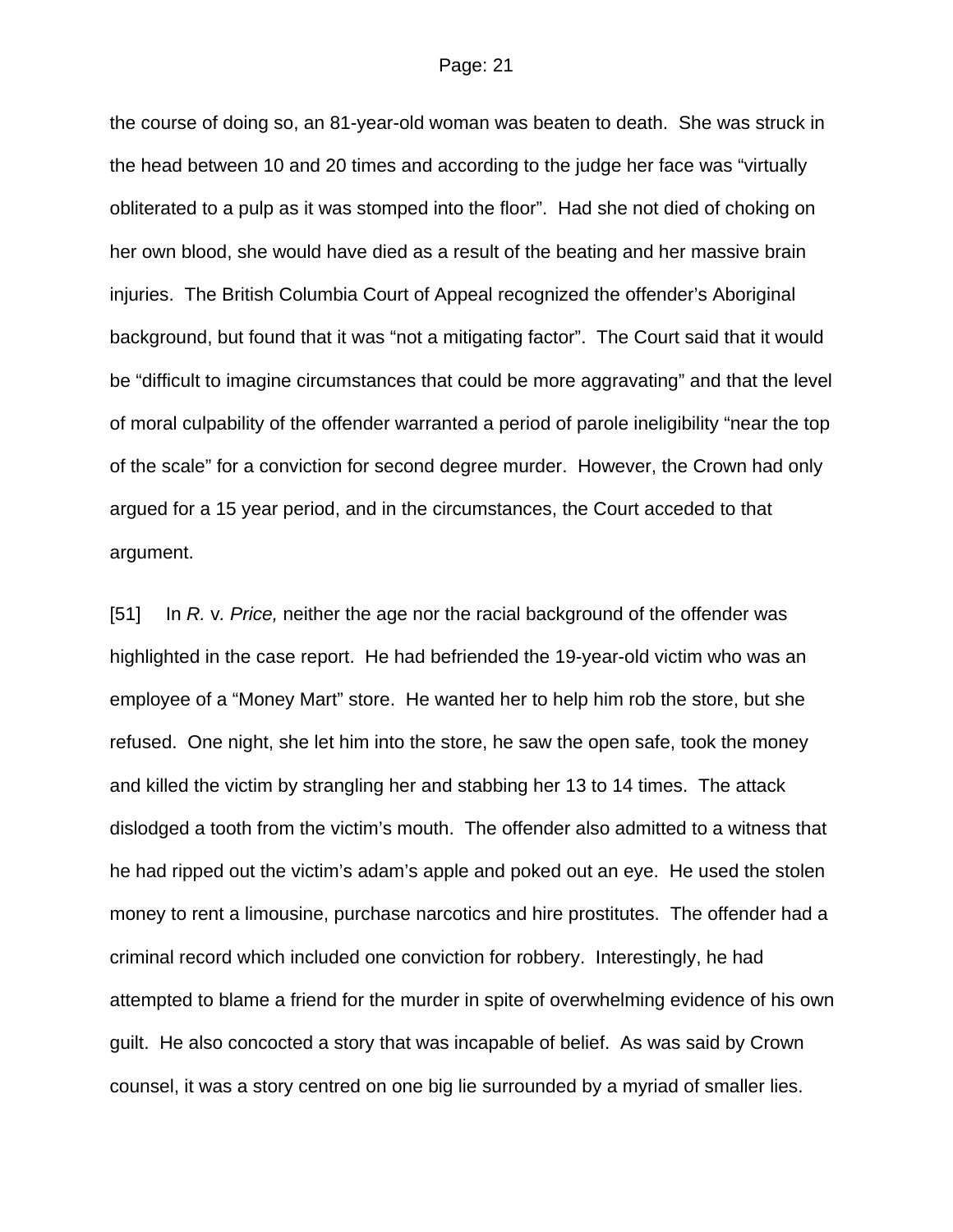the course of doing so, an 81-year-old woman was beaten to death. She was struck in the head between 10 and 20 times and according to the judge her face was "virtually obliterated to a pulp as it was stomped into the floor". Had she not died of choking on her own blood, she would have died as a result of the beating and her massive brain injuries. The British Columbia Court of Appeal recognized the offender's Aboriginal background, but found that it was "not a mitigating factor". The Court said that it would be "difficult to imagine circumstances that could be more aggravating" and that the level of moral culpability of the offender warranted a period of parole ineligibility "near the top of the scale" for a conviction for second degree murder. However, the Crown had only argued for a 15 year period, and in the circumstances, the Court acceded to that argument.

[51] In *R.* v*. Price,* neither the age nor the racial background of the offender was highlighted in the case report. He had befriended the 19-year-old victim who was an employee of a "Money Mart" store. He wanted her to help him rob the store, but she refused. One night, she let him into the store, he saw the open safe, took the money and killed the victim by strangling her and stabbing her 13 to 14 times. The attack dislodged a tooth from the victim's mouth. The offender also admitted to a witness that he had ripped out the victim's adam's apple and poked out an eye. He used the stolen money to rent a limousine, purchase narcotics and hire prostitutes. The offender had a criminal record which included one conviction for robbery. Interestingly, he had attempted to blame a friend for the murder in spite of overwhelming evidence of his own guilt. He also concocted a story that was incapable of belief. As was said by Crown counsel, it was a story centred on one big lie surrounded by a myriad of smaller lies.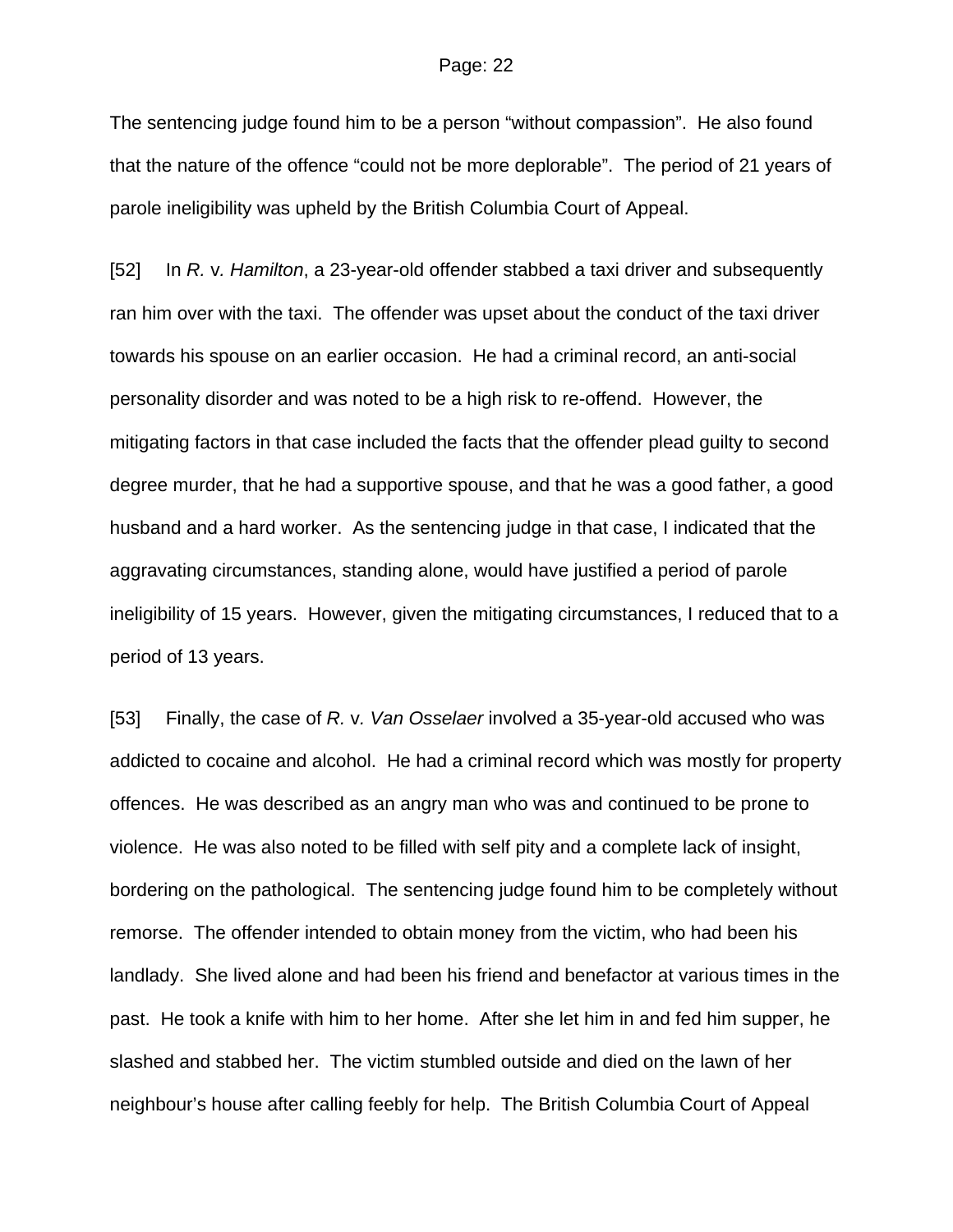The sentencing judge found him to be a person "without compassion". He also found that the nature of the offence "could not be more deplorable". The period of 21 years of parole ineligibility was upheld by the British Columbia Court of Appeal.

[52] In *R.* v*. Hamilton*, a 23-year-old offender stabbed a taxi driver and subsequently ran him over with the taxi. The offender was upset about the conduct of the taxi driver towards his spouse on an earlier occasion. He had a criminal record, an anti-social personality disorder and was noted to be a high risk to re-offend. However, the mitigating factors in that case included the facts that the offender plead guilty to second degree murder, that he had a supportive spouse, and that he was a good father, a good husband and a hard worker. As the sentencing judge in that case, I indicated that the aggravating circumstances, standing alone, would have justified a period of parole ineligibility of 15 years. However, given the mitigating circumstances, I reduced that to a period of 13 years.

[53] Finally, the case of *R.* v*. Van Osselaer* involved a 35-year-old accused who was addicted to cocaine and alcohol. He had a criminal record which was mostly for property offences. He was described as an angry man who was and continued to be prone to violence. He was also noted to be filled with self pity and a complete lack of insight, bordering on the pathological. The sentencing judge found him to be completely without remorse. The offender intended to obtain money from the victim, who had been his landlady. She lived alone and had been his friend and benefactor at various times in the past. He took a knife with him to her home. After she let him in and fed him supper, he slashed and stabbed her. The victim stumbled outside and died on the lawn of her neighbour's house after calling feebly for help. The British Columbia Court of Appeal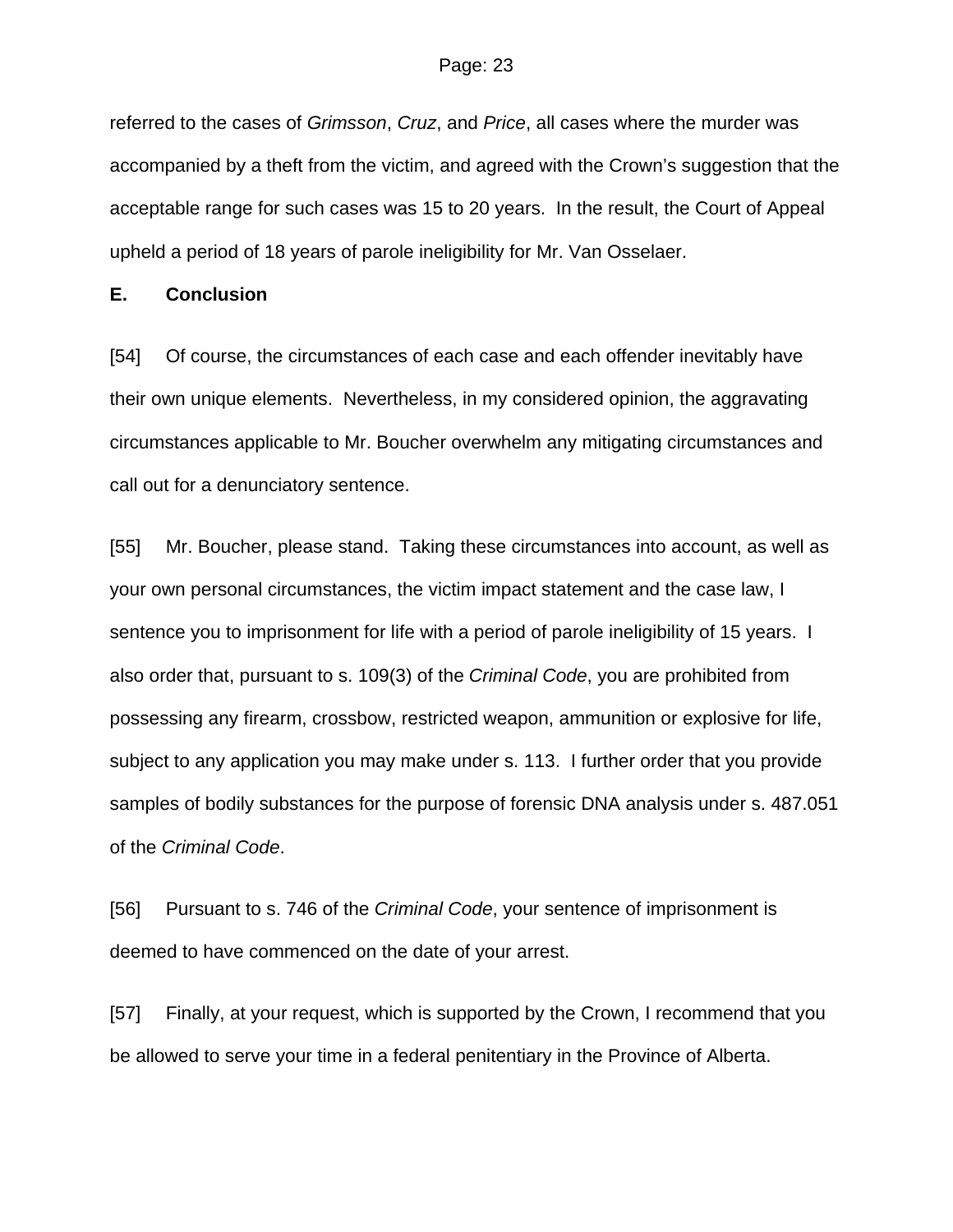referred to the cases of *Grimsson*, *Cruz*, and *Price*, all cases where the murder was accompanied by a theft from the victim, and agreed with the Crown's suggestion that the acceptable range for such cases was 15 to 20 years. In the result, the Court of Appeal upheld a period of 18 years of parole ineligibility for Mr. Van Osselaer.

### **E. Conclusion**

[54] Of course, the circumstances of each case and each offender inevitably have their own unique elements. Nevertheless, in my considered opinion, the aggravating circumstances applicable to Mr. Boucher overwhelm any mitigating circumstances and call out for a denunciatory sentence.

[55] Mr. Boucher, please stand. Taking these circumstances into account, as well as your own personal circumstances, the victim impact statement and the case law, I sentence you to imprisonment for life with a period of parole ineligibility of 15 years. I also order that, pursuant to s. 109(3) of the *Criminal Code*, you are prohibited from possessing any firearm, crossbow, restricted weapon, ammunition or explosive for life, subject to any application you may make under s. 113. I further order that you provide samples of bodily substances for the purpose of forensic DNA analysis under s. 487.051 of the *Criminal Code*.

[56] Pursuant to s. 746 of the *Criminal Code*, your sentence of imprisonment is deemed to have commenced on the date of your arrest.

[57] Finally, at your request, which is supported by the Crown, I recommend that you be allowed to serve your time in a federal penitentiary in the Province of Alberta.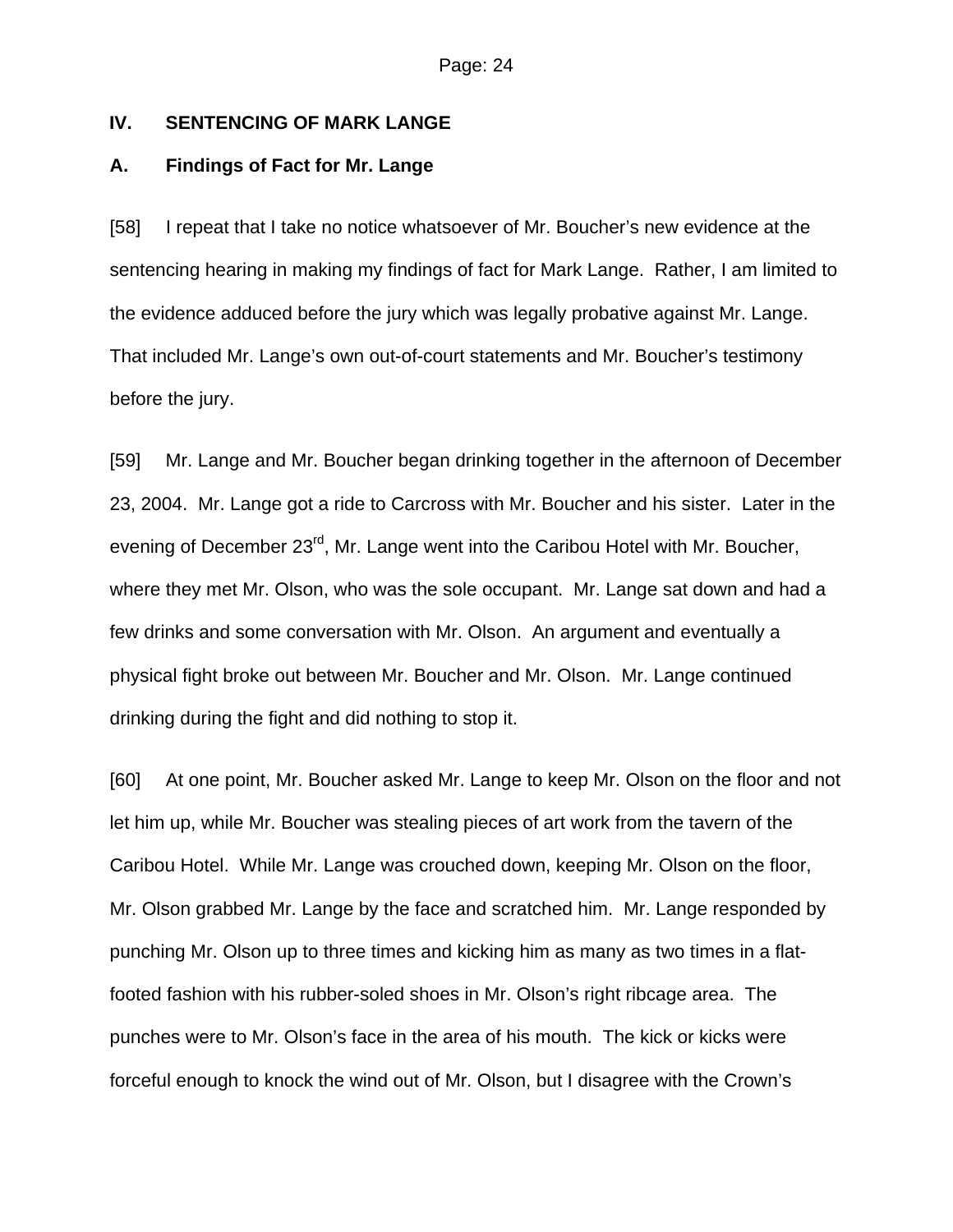## **IV. SENTENCING OF MARK LANGE**

## **A. Findings of Fact for Mr. Lange**

[58] I repeat that I take no notice whatsoever of Mr. Boucher's new evidence at the sentencing hearing in making my findings of fact for Mark Lange. Rather, I am limited to the evidence adduced before the jury which was legally probative against Mr. Lange. That included Mr. Lange's own out-of-court statements and Mr. Boucher's testimony before the jury.

[59] Mr. Lange and Mr. Boucher began drinking together in the afternoon of December 23, 2004. Mr. Lange got a ride to Carcross with Mr. Boucher and his sister. Later in the evening of December 23<sup>rd</sup>, Mr. Lange went into the Caribou Hotel with Mr. Boucher, where they met Mr. Olson, who was the sole occupant. Mr. Lange sat down and had a few drinks and some conversation with Mr. Olson. An argument and eventually a physical fight broke out between Mr. Boucher and Mr. Olson. Mr. Lange continued drinking during the fight and did nothing to stop it.

[60] At one point, Mr. Boucher asked Mr. Lange to keep Mr. Olson on the floor and not let him up, while Mr. Boucher was stealing pieces of art work from the tavern of the Caribou Hotel. While Mr. Lange was crouched down, keeping Mr. Olson on the floor, Mr. Olson grabbed Mr. Lange by the face and scratched him. Mr. Lange responded by punching Mr. Olson up to three times and kicking him as many as two times in a flatfooted fashion with his rubber-soled shoes in Mr. Olson's right ribcage area. The punches were to Mr. Olson's face in the area of his mouth. The kick or kicks were forceful enough to knock the wind out of Mr. Olson, but I disagree with the Crown's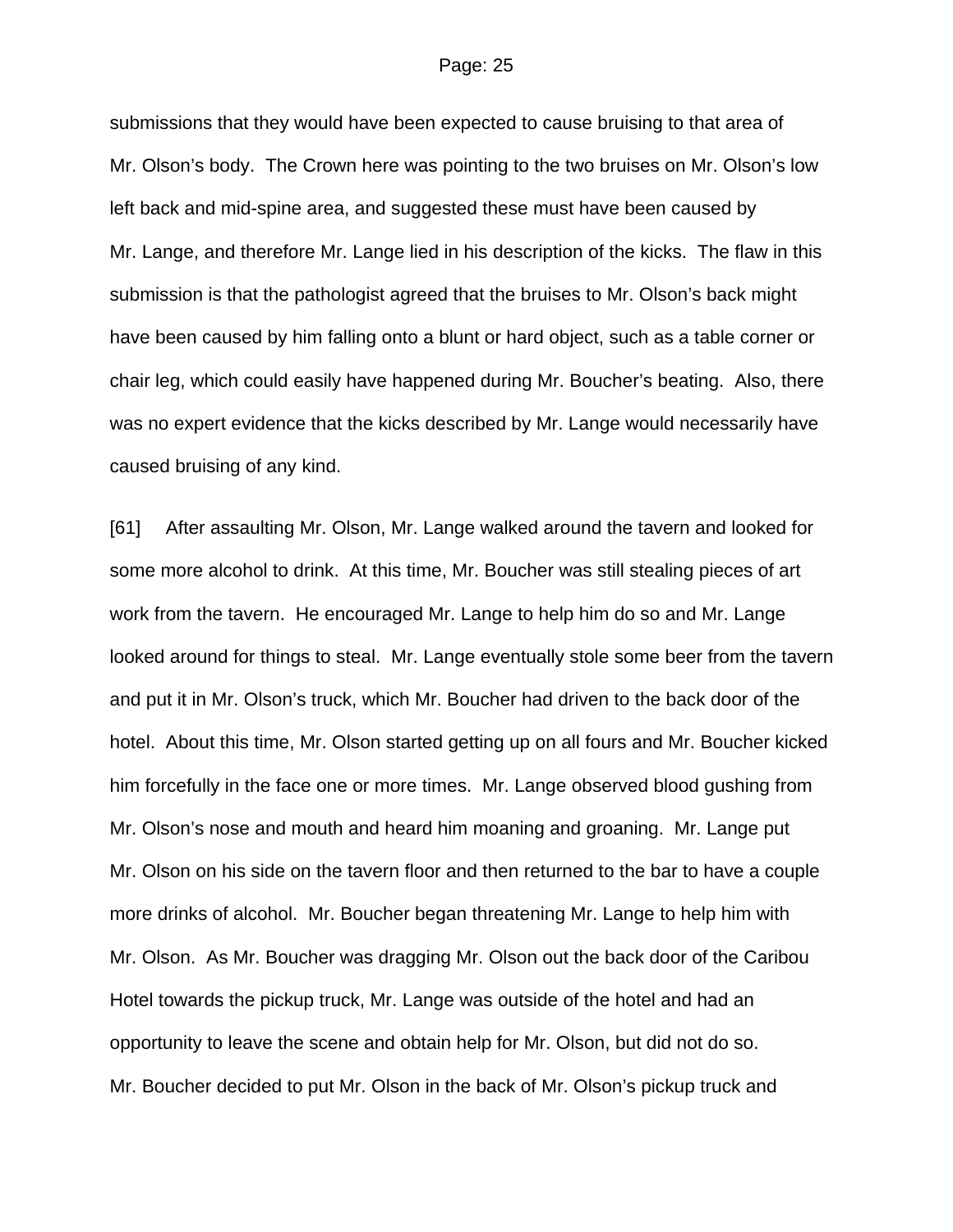submissions that they would have been expected to cause bruising to that area of Mr. Olson's body. The Crown here was pointing to the two bruises on Mr. Olson's low left back and mid-spine area, and suggested these must have been caused by Mr. Lange, and therefore Mr. Lange lied in his description of the kicks. The flaw in this submission is that the pathologist agreed that the bruises to Mr. Olson's back might have been caused by him falling onto a blunt or hard object, such as a table corner or chair leg, which could easily have happened during Mr. Boucher's beating. Also, there was no expert evidence that the kicks described by Mr. Lange would necessarily have caused bruising of any kind.

[61] After assaulting Mr. Olson, Mr. Lange walked around the tavern and looked for some more alcohol to drink. At this time, Mr. Boucher was still stealing pieces of art work from the tavern. He encouraged Mr. Lange to help him do so and Mr. Lange looked around for things to steal. Mr. Lange eventually stole some beer from the tavern and put it in Mr. Olson's truck, which Mr. Boucher had driven to the back door of the hotel. About this time, Mr. Olson started getting up on all fours and Mr. Boucher kicked him forcefully in the face one or more times. Mr. Lange observed blood gushing from Mr. Olson's nose and mouth and heard him moaning and groaning. Mr. Lange put Mr. Olson on his side on the tavern floor and then returned to the bar to have a couple more drinks of alcohol. Mr. Boucher began threatening Mr. Lange to help him with Mr. Olson. As Mr. Boucher was dragging Mr. Olson out the back door of the Caribou Hotel towards the pickup truck, Mr. Lange was outside of the hotel and had an opportunity to leave the scene and obtain help for Mr. Olson, but did not do so. Mr. Boucher decided to put Mr. Olson in the back of Mr. Olson's pickup truck and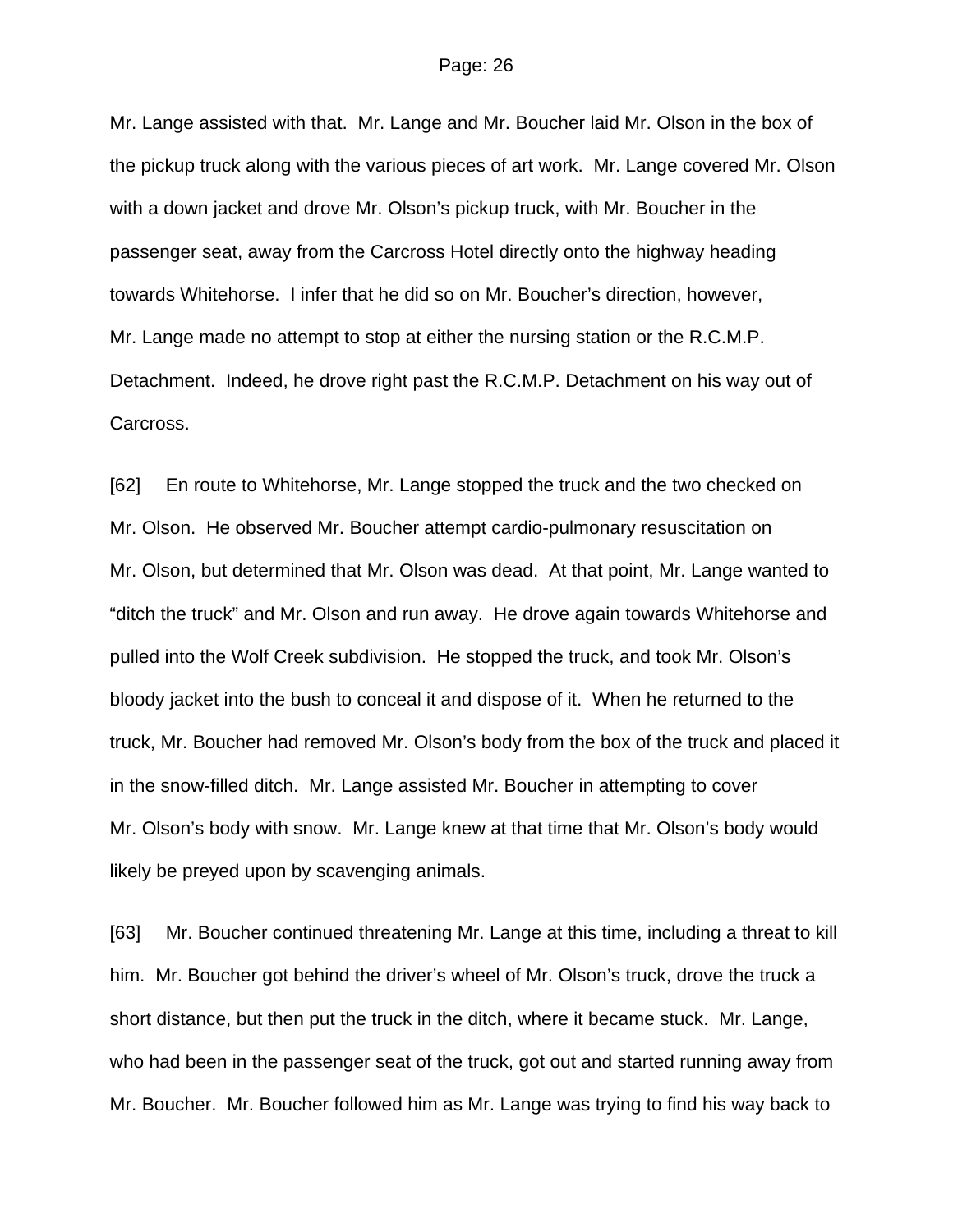Mr. Lange assisted with that. Mr. Lange and Mr. Boucher laid Mr. Olson in the box of the pickup truck along with the various pieces of art work. Mr. Lange covered Mr. Olson with a down jacket and drove Mr. Olson's pickup truck, with Mr. Boucher in the passenger seat, away from the Carcross Hotel directly onto the highway heading towards Whitehorse. I infer that he did so on Mr. Boucher's direction, however, Mr. Lange made no attempt to stop at either the nursing station or the R.C.M.P. Detachment. Indeed, he drove right past the R.C.M.P. Detachment on his way out of Carcross.

[62] En route to Whitehorse, Mr. Lange stopped the truck and the two checked on Mr. Olson. He observed Mr. Boucher attempt cardio-pulmonary resuscitation on Mr. Olson, but determined that Mr. Olson was dead. At that point, Mr. Lange wanted to "ditch the truck" and Mr. Olson and run away. He drove again towards Whitehorse and pulled into the Wolf Creek subdivision. He stopped the truck, and took Mr. Olson's bloody jacket into the bush to conceal it and dispose of it. When he returned to the truck, Mr. Boucher had removed Mr. Olson's body from the box of the truck and placed it in the snow-filled ditch. Mr. Lange assisted Mr. Boucher in attempting to cover Mr. Olson's body with snow. Mr. Lange knew at that time that Mr. Olson's body would likely be preyed upon by scavenging animals.

[63] Mr. Boucher continued threatening Mr. Lange at this time, including a threat to kill him. Mr. Boucher got behind the driver's wheel of Mr. Olson's truck, drove the truck a short distance, but then put the truck in the ditch, where it became stuck. Mr. Lange, who had been in the passenger seat of the truck, got out and started running away from Mr. Boucher. Mr. Boucher followed him as Mr. Lange was trying to find his way back to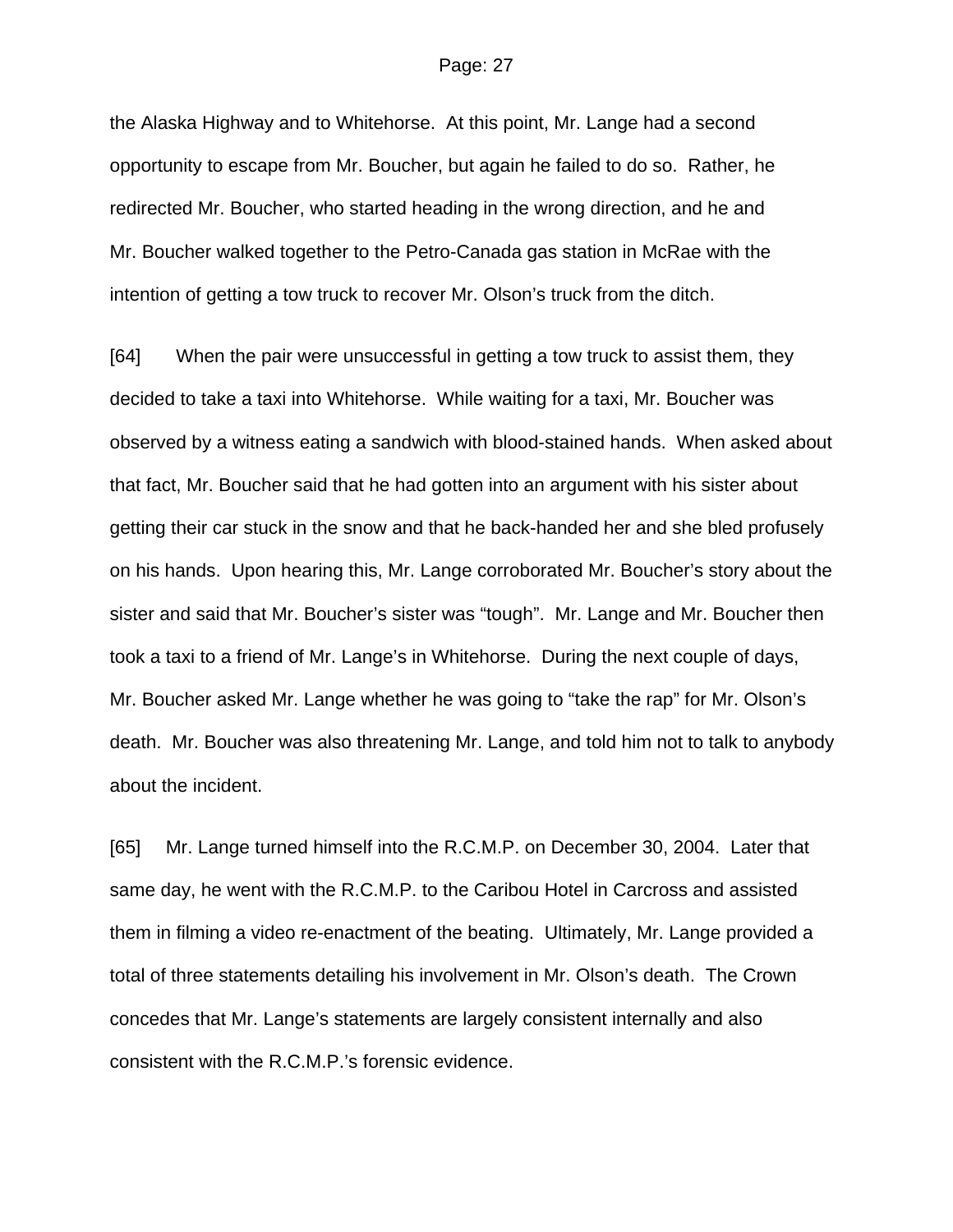the Alaska Highway and to Whitehorse. At this point, Mr. Lange had a second opportunity to escape from Mr. Boucher, but again he failed to do so. Rather, he redirected Mr. Boucher, who started heading in the wrong direction, and he and Mr. Boucher walked together to the Petro-Canada gas station in McRae with the intention of getting a tow truck to recover Mr. Olson's truck from the ditch.

[64] When the pair were unsuccessful in getting a tow truck to assist them, they decided to take a taxi into Whitehorse. While waiting for a taxi, Mr. Boucher was observed by a witness eating a sandwich with blood-stained hands. When asked about that fact, Mr. Boucher said that he had gotten into an argument with his sister about getting their car stuck in the snow and that he back-handed her and she bled profusely on his hands. Upon hearing this, Mr. Lange corroborated Mr. Boucher's story about the sister and said that Mr. Boucher's sister was "tough". Mr. Lange and Mr. Boucher then took a taxi to a friend of Mr. Lange's in Whitehorse. During the next couple of days, Mr. Boucher asked Mr. Lange whether he was going to "take the rap" for Mr. Olson's death. Mr. Boucher was also threatening Mr. Lange, and told him not to talk to anybody about the incident.

[65] Mr. Lange turned himself into the R.C.M.P. on December 30, 2004. Later that same day, he went with the R.C.M.P. to the Caribou Hotel in Carcross and assisted them in filming a video re-enactment of the beating. Ultimately, Mr. Lange provided a total of three statements detailing his involvement in Mr. Olson's death. The Crown concedes that Mr. Lange's statements are largely consistent internally and also consistent with the R.C.M.P.'s forensic evidence.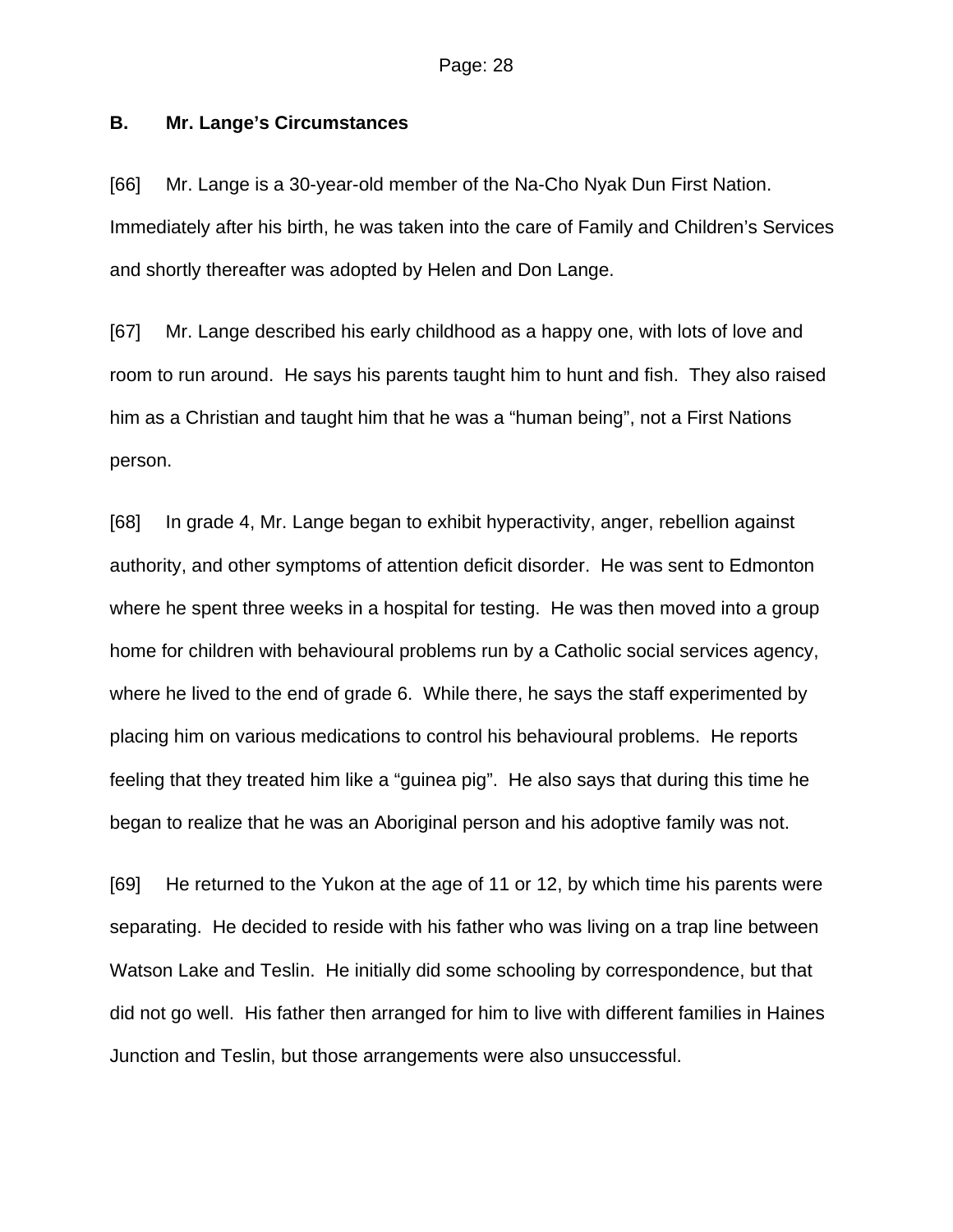## **B. Mr. Lange's Circumstances**

[66] Mr. Lange is a 30-year-old member of the Na-Cho Nyak Dun First Nation. Immediately after his birth, he was taken into the care of Family and Children's Services and shortly thereafter was adopted by Helen and Don Lange.

[67] Mr. Lange described his early childhood as a happy one, with lots of love and room to run around. He says his parents taught him to hunt and fish. They also raised him as a Christian and taught him that he was a "human being", not a First Nations person.

[68] In grade 4, Mr. Lange began to exhibit hyperactivity, anger, rebellion against authority, and other symptoms of attention deficit disorder. He was sent to Edmonton where he spent three weeks in a hospital for testing. He was then moved into a group home for children with behavioural problems run by a Catholic social services agency, where he lived to the end of grade 6. While there, he says the staff experimented by placing him on various medications to control his behavioural problems. He reports feeling that they treated him like a "guinea pig". He also says that during this time he began to realize that he was an Aboriginal person and his adoptive family was not.

[69] He returned to the Yukon at the age of 11 or 12, by which time his parents were separating. He decided to reside with his father who was living on a trap line between Watson Lake and Teslin. He initially did some schooling by correspondence, but that did not go well. His father then arranged for him to live with different families in Haines Junction and Teslin, but those arrangements were also unsuccessful.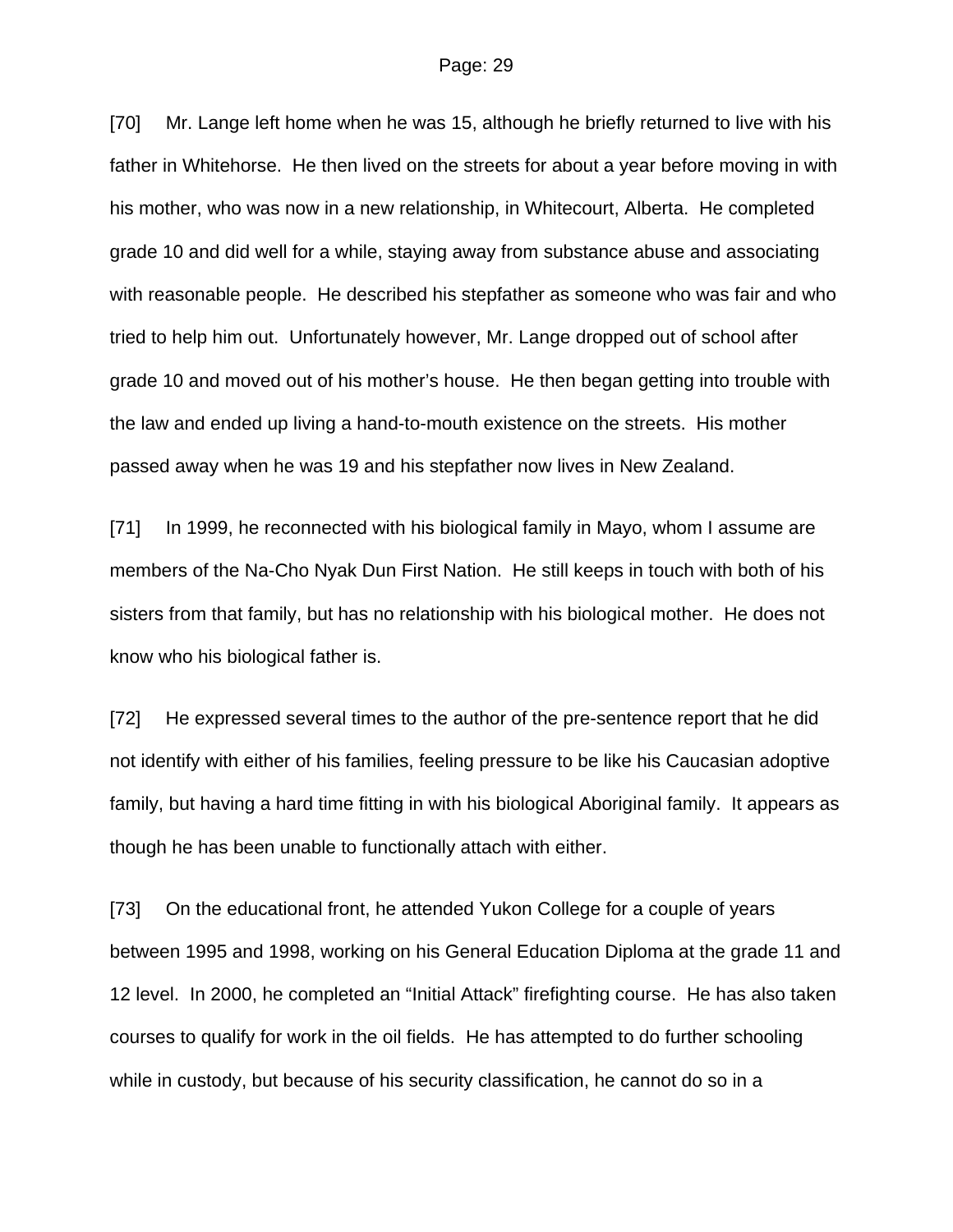[70] Mr. Lange left home when he was 15, although he briefly returned to live with his father in Whitehorse. He then lived on the streets for about a year before moving in with his mother, who was now in a new relationship, in Whitecourt, Alberta. He completed grade 10 and did well for a while, staying away from substance abuse and associating with reasonable people. He described his stepfather as someone who was fair and who tried to help him out. Unfortunately however, Mr. Lange dropped out of school after grade 10 and moved out of his mother's house. He then began getting into trouble with the law and ended up living a hand-to-mouth existence on the streets. His mother passed away when he was 19 and his stepfather now lives in New Zealand.

[71] In 1999, he reconnected with his biological family in Mayo, whom I assume are members of the Na-Cho Nyak Dun First Nation. He still keeps in touch with both of his sisters from that family, but has no relationship with his biological mother. He does not know who his biological father is.

[72] He expressed several times to the author of the pre-sentence report that he did not identify with either of his families, feeling pressure to be like his Caucasian adoptive family, but having a hard time fitting in with his biological Aboriginal family. It appears as though he has been unable to functionally attach with either.

[73] On the educational front, he attended Yukon College for a couple of years between 1995 and 1998, working on his General Education Diploma at the grade 11 and 12 level. In 2000, he completed an "Initial Attack" firefighting course. He has also taken courses to qualify for work in the oil fields. He has attempted to do further schooling while in custody, but because of his security classification, he cannot do so in a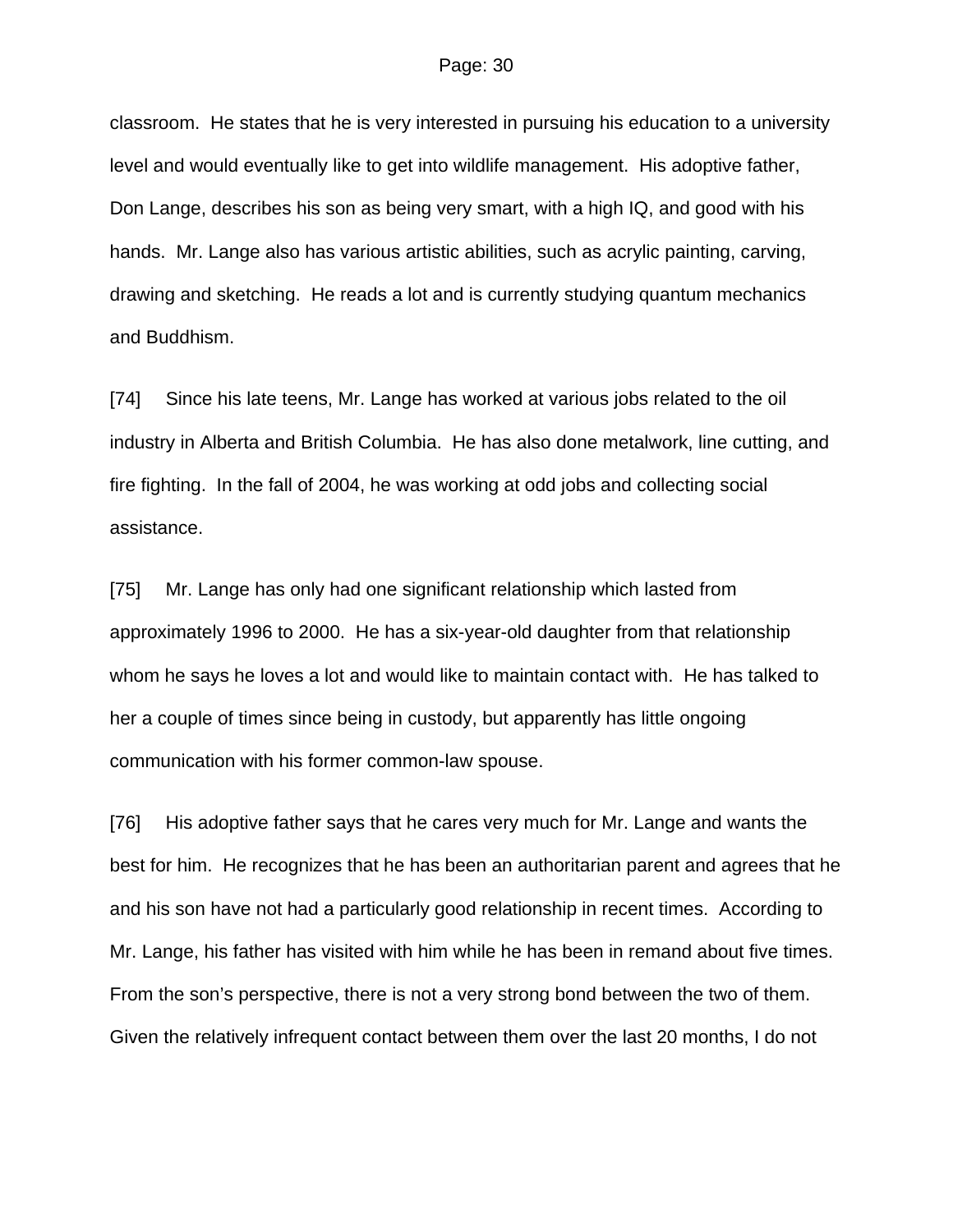classroom. He states that he is very interested in pursuing his education to a university level and would eventually like to get into wildlife management. His adoptive father, Don Lange, describes his son as being very smart, with a high IQ, and good with his hands. Mr. Lange also has various artistic abilities, such as acrylic painting, carving, drawing and sketching. He reads a lot and is currently studying quantum mechanics and Buddhism.

[74] Since his late teens, Mr. Lange has worked at various jobs related to the oil industry in Alberta and British Columbia. He has also done metalwork, line cutting, and fire fighting. In the fall of 2004, he was working at odd jobs and collecting social assistance.

[75] Mr. Lange has only had one significant relationship which lasted from approximately 1996 to 2000. He has a six-year-old daughter from that relationship whom he says he loves a lot and would like to maintain contact with. He has talked to her a couple of times since being in custody, but apparently has little ongoing communication with his former common-law spouse.

[76] His adoptive father says that he cares very much for Mr. Lange and wants the best for him. He recognizes that he has been an authoritarian parent and agrees that he and his son have not had a particularly good relationship in recent times. According to Mr. Lange, his father has visited with him while he has been in remand about five times. From the son's perspective, there is not a very strong bond between the two of them. Given the relatively infrequent contact between them over the last 20 months, I do not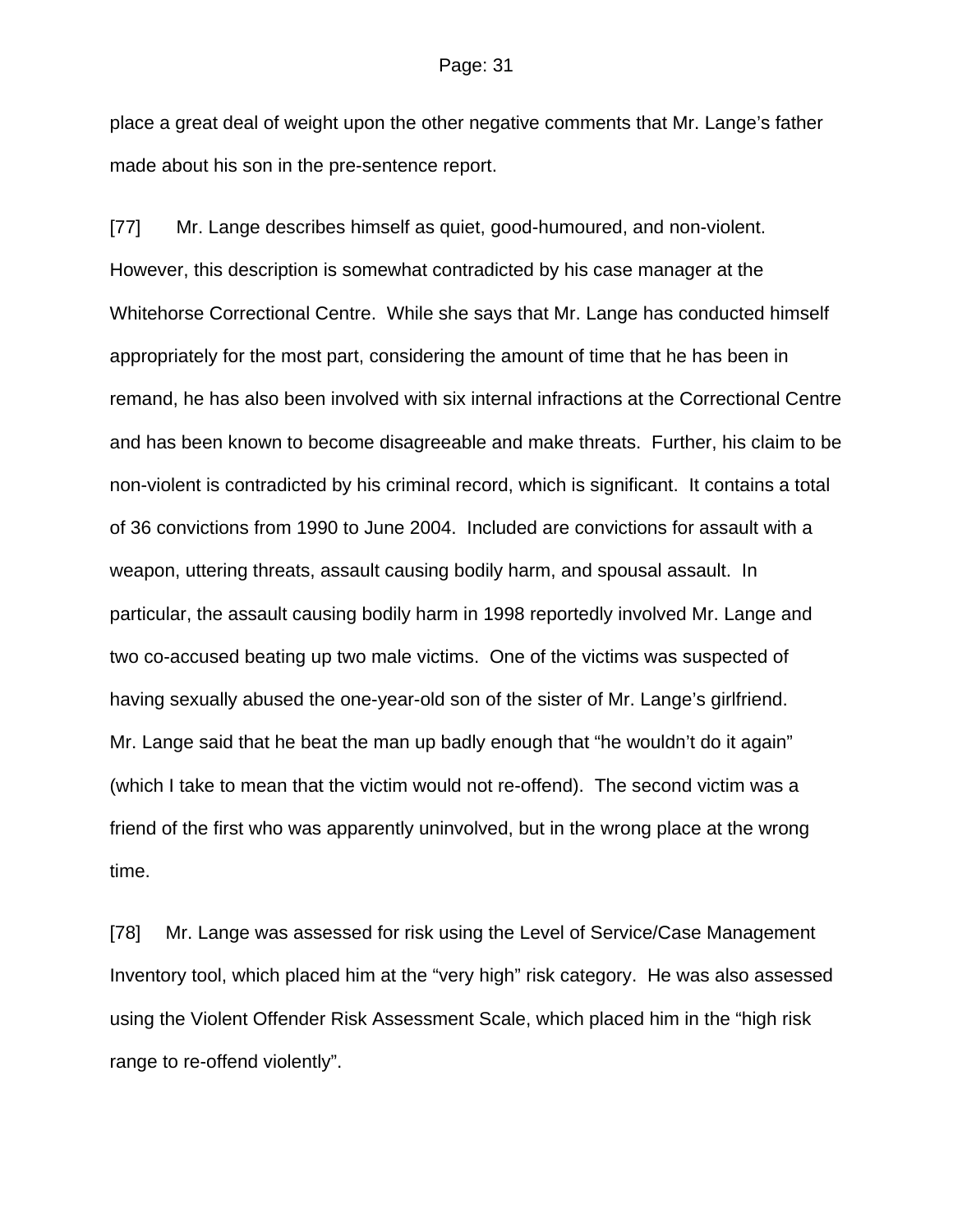place a great deal of weight upon the other negative comments that Mr. Lange's father made about his son in the pre-sentence report.

[77] Mr. Lange describes himself as quiet, good-humoured, and non-violent. However, this description is somewhat contradicted by his case manager at the Whitehorse Correctional Centre. While she says that Mr. Lange has conducted himself appropriately for the most part, considering the amount of time that he has been in remand, he has also been involved with six internal infractions at the Correctional Centre and has been known to become disagreeable and make threats. Further, his claim to be non-violent is contradicted by his criminal record, which is significant. It contains a total of 36 convictions from 1990 to June 2004. Included are convictions for assault with a weapon, uttering threats, assault causing bodily harm, and spousal assault. In particular, the assault causing bodily harm in 1998 reportedly involved Mr. Lange and two co-accused beating up two male victims. One of the victims was suspected of having sexually abused the one-year-old son of the sister of Mr. Lange's girlfriend. Mr. Lange said that he beat the man up badly enough that "he wouldn't do it again" (which I take to mean that the victim would not re-offend). The second victim was a friend of the first who was apparently uninvolved, but in the wrong place at the wrong time.

[78] Mr. Lange was assessed for risk using the Level of Service/Case Management Inventory tool, which placed him at the "very high" risk category. He was also assessed using the Violent Offender Risk Assessment Scale, which placed him in the "high risk range to re-offend violently".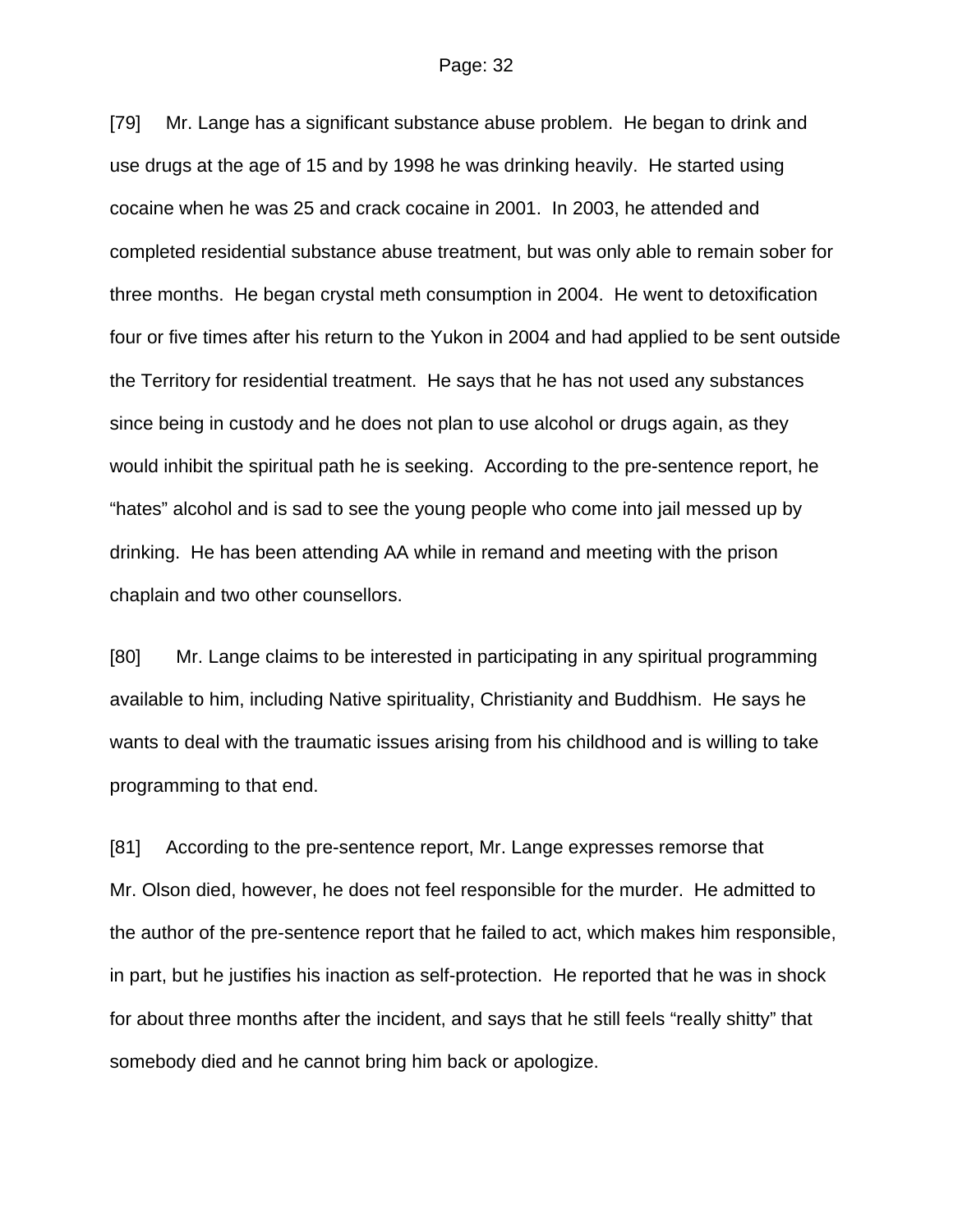[79] Mr. Lange has a significant substance abuse problem. He began to drink and use drugs at the age of 15 and by 1998 he was drinking heavily. He started using cocaine when he was 25 and crack cocaine in 2001. In 2003, he attended and completed residential substance abuse treatment, but was only able to remain sober for three months. He began crystal meth consumption in 2004. He went to detoxification four or five times after his return to the Yukon in 2004 and had applied to be sent outside the Territory for residential treatment. He says that he has not used any substances since being in custody and he does not plan to use alcohol or drugs again, as they would inhibit the spiritual path he is seeking. According to the pre-sentence report, he "hates" alcohol and is sad to see the young people who come into jail messed up by drinking. He has been attending AA while in remand and meeting with the prison chaplain and two other counsellors.

[80] Mr. Lange claims to be interested in participating in any spiritual programming available to him, including Native spirituality, Christianity and Buddhism. He says he wants to deal with the traumatic issues arising from his childhood and is willing to take programming to that end.

[81] According to the pre-sentence report, Mr. Lange expresses remorse that Mr. Olson died, however, he does not feel responsible for the murder. He admitted to the author of the pre-sentence report that he failed to act, which makes him responsible, in part, but he justifies his inaction as self-protection. He reported that he was in shock for about three months after the incident, and says that he still feels "really shitty" that somebody died and he cannot bring him back or apologize.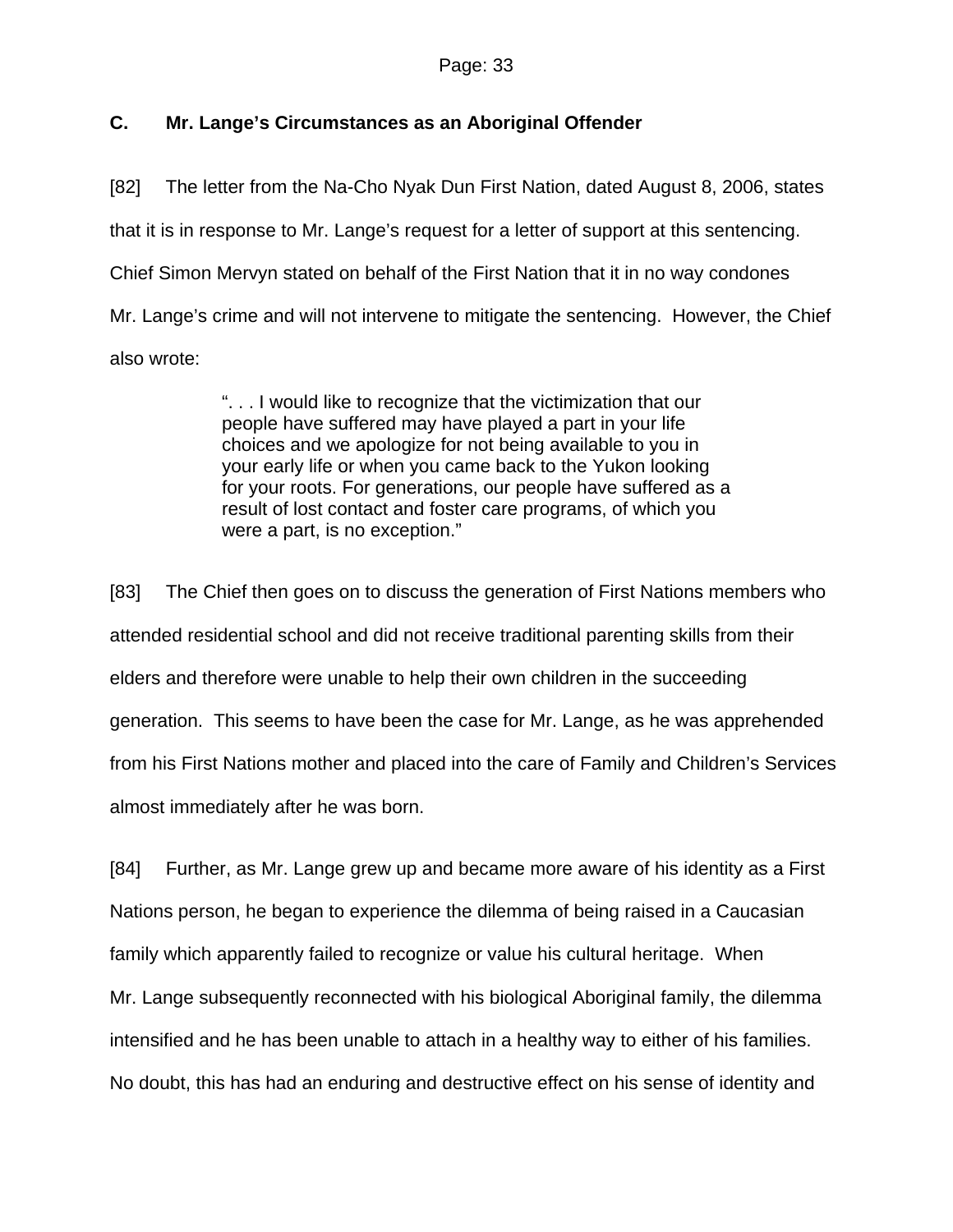## **C. Mr. Lange's Circumstances as an Aboriginal Offender**

[82] The letter from the Na-Cho Nyak Dun First Nation, dated August 8, 2006, states that it is in response to Mr. Lange's request for a letter of support at this sentencing. Chief Simon Mervyn stated on behalf of the First Nation that it in no way condones Mr. Lange's crime and will not intervene to mitigate the sentencing. However, the Chief also wrote:

> ". . . I would like to recognize that the victimization that our people have suffered may have played a part in your life choices and we apologize for not being available to you in your early life or when you came back to the Yukon looking for your roots. For generations, our people have suffered as a result of lost contact and foster care programs, of which you were a part, is no exception."

[83] The Chief then goes on to discuss the generation of First Nations members who attended residential school and did not receive traditional parenting skills from their elders and therefore were unable to help their own children in the succeeding generation. This seems to have been the case for Mr. Lange, as he was apprehended from his First Nations mother and placed into the care of Family and Children's Services almost immediately after he was born.

[84] Further, as Mr. Lange grew up and became more aware of his identity as a First Nations person, he began to experience the dilemma of being raised in a Caucasian family which apparently failed to recognize or value his cultural heritage. When Mr. Lange subsequently reconnected with his biological Aboriginal family, the dilemma intensified and he has been unable to attach in a healthy way to either of his families. No doubt, this has had an enduring and destructive effect on his sense of identity and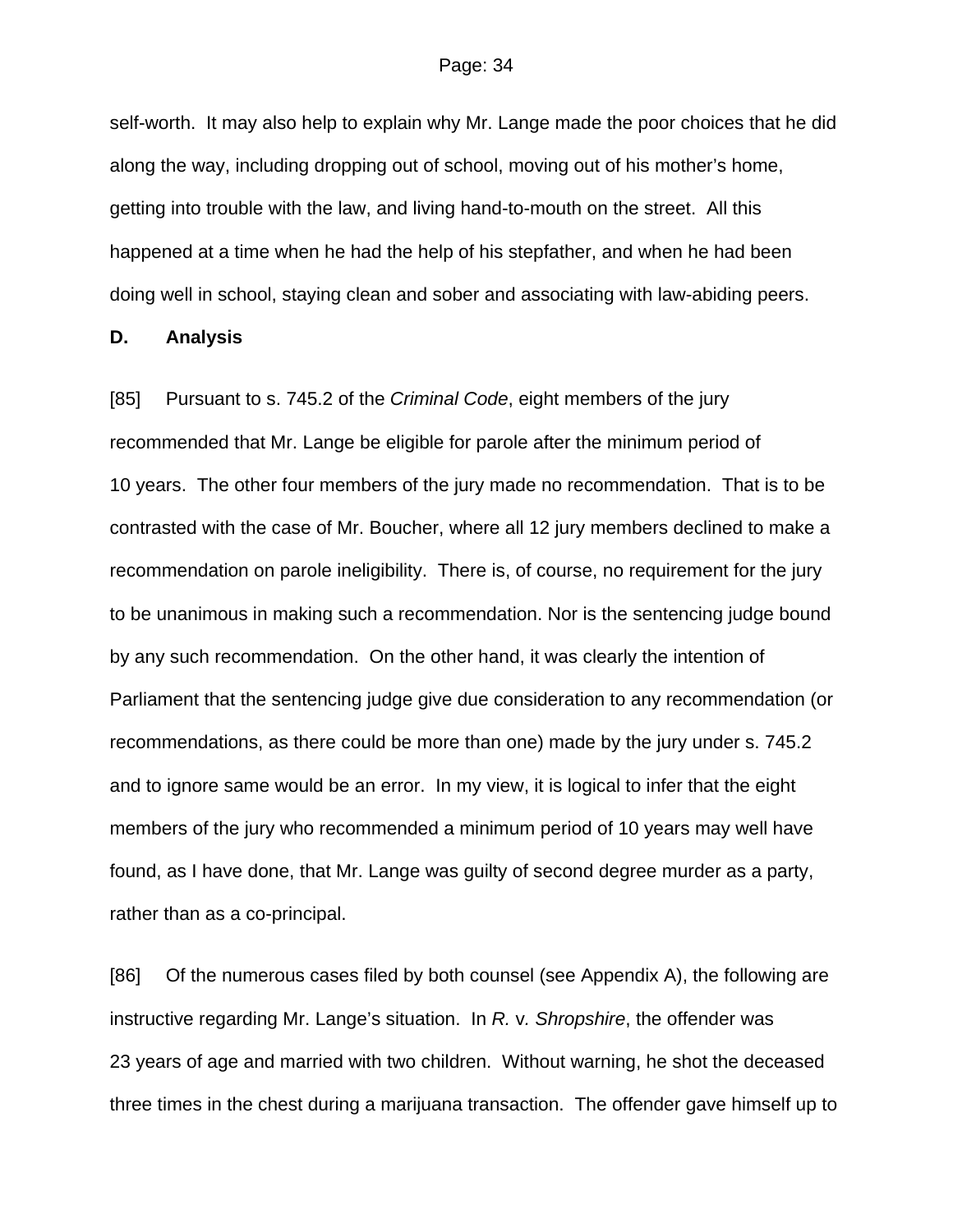self-worth. It may also help to explain why Mr. Lange made the poor choices that he did along the way, including dropping out of school, moving out of his mother's home, getting into trouble with the law, and living hand-to-mouth on the street. All this happened at a time when he had the help of his stepfather, and when he had been doing well in school, staying clean and sober and associating with law-abiding peers.

#### **D. Analysis**

[85] Pursuant to s. 745.2 of the *Criminal Code*, eight members of the jury recommended that Mr. Lange be eligible for parole after the minimum period of 10 years. The other four members of the jury made no recommendation. That is to be contrasted with the case of Mr. Boucher, where all 12 jury members declined to make a recommendation on parole ineligibility. There is, of course, no requirement for the jury to be unanimous in making such a recommendation. Nor is the sentencing judge bound by any such recommendation. On the other hand, it was clearly the intention of Parliament that the sentencing judge give due consideration to any recommendation (or recommendations, as there could be more than one) made by the jury under s. 745.2 and to ignore same would be an error. In my view, it is logical to infer that the eight members of the jury who recommended a minimum period of 10 years may well have found, as I have done, that Mr. Lange was guilty of second degree murder as a party, rather than as a co-principal.

[86] Of the numerous cases filed by both counsel (see Appendix A), the following are instructive regarding Mr. Lange's situation. In *R.* v*. Shropshire*, the offender was 23 years of age and married with two children. Without warning, he shot the deceased three times in the chest during a marijuana transaction. The offender gave himself up to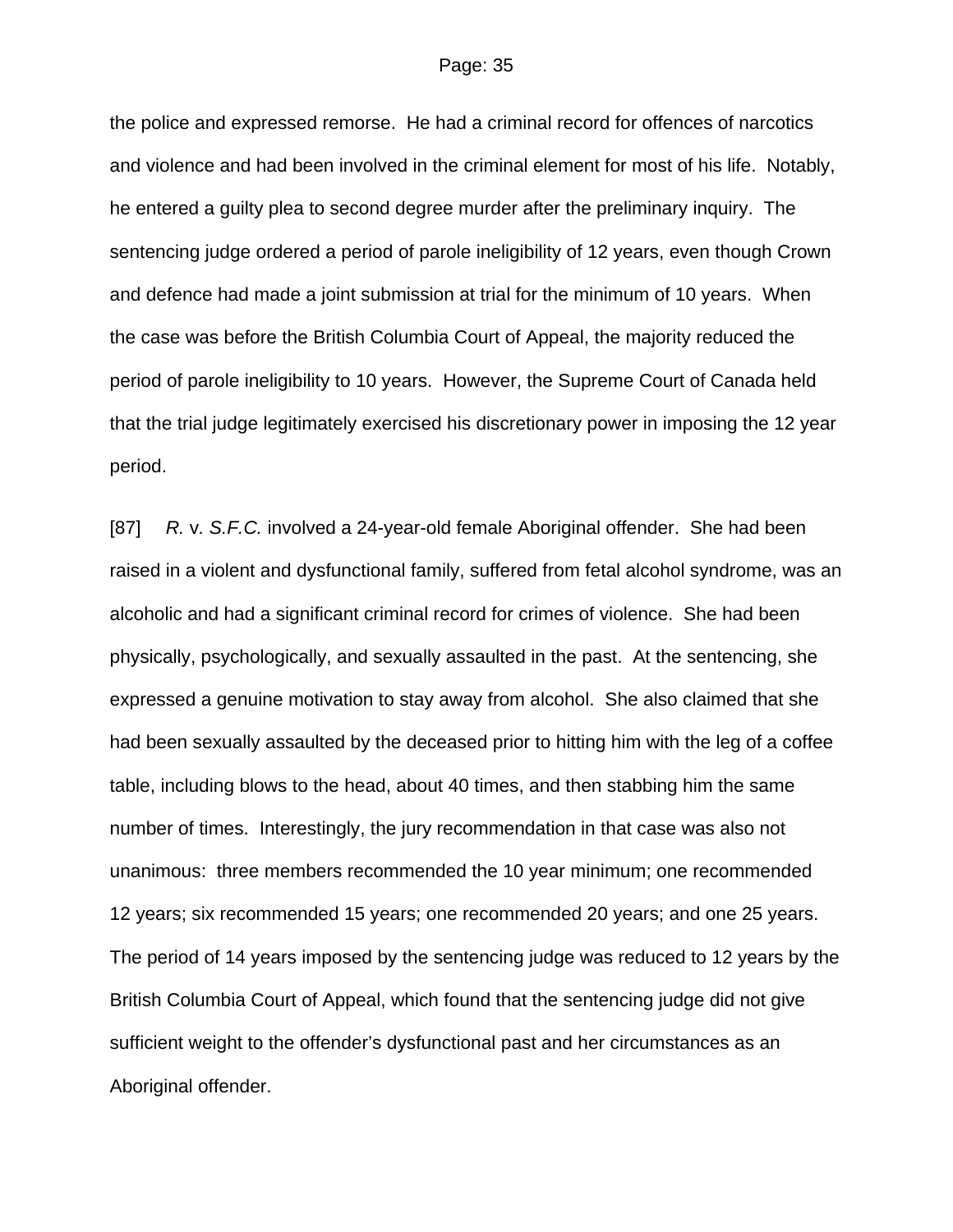the police and expressed remorse. He had a criminal record for offences of narcotics and violence and had been involved in the criminal element for most of his life. Notably, he entered a guilty plea to second degree murder after the preliminary inquiry. The sentencing judge ordered a period of parole ineligibility of 12 years, even though Crown and defence had made a joint submission at trial for the minimum of 10 years. When the case was before the British Columbia Court of Appeal, the majority reduced the period of parole ineligibility to 10 years. However, the Supreme Court of Canada held that the trial judge legitimately exercised his discretionary power in imposing the 12 year period.

[87] *R.* v*. S.F.C.* involved a 24-year-old female Aboriginal offender. She had been raised in a violent and dysfunctional family, suffered from fetal alcohol syndrome, was an alcoholic and had a significant criminal record for crimes of violence. She had been physically, psychologically, and sexually assaulted in the past. At the sentencing, she expressed a genuine motivation to stay away from alcohol. She also claimed that she had been sexually assaulted by the deceased prior to hitting him with the leg of a coffee table, including blows to the head, about 40 times, and then stabbing him the same number of times. Interestingly, the jury recommendation in that case was also not unanimous: three members recommended the 10 year minimum; one recommended 12 years; six recommended 15 years; one recommended 20 years; and one 25 years. The period of 14 years imposed by the sentencing judge was reduced to 12 years by the British Columbia Court of Appeal, which found that the sentencing judge did not give sufficient weight to the offender's dysfunctional past and her circumstances as an Aboriginal offender.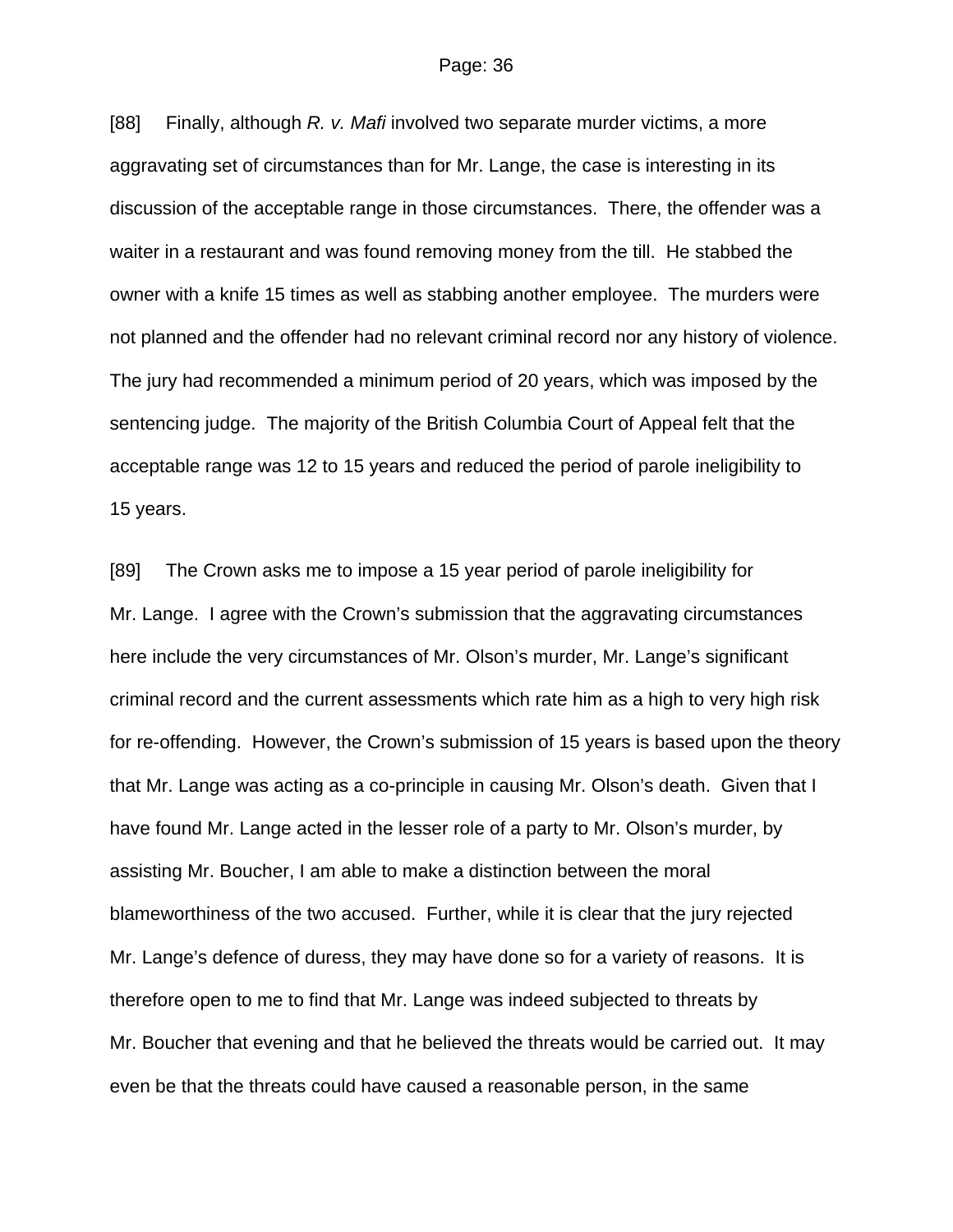[88] Finally, although *R. v. Mafi* involved two separate murder victims, a more aggravating set of circumstances than for Mr. Lange, the case is interesting in its discussion of the acceptable range in those circumstances. There, the offender was a waiter in a restaurant and was found removing money from the till. He stabbed the owner with a knife 15 times as well as stabbing another employee. The murders were not planned and the offender had no relevant criminal record nor any history of violence. The jury had recommended a minimum period of 20 years, which was imposed by the sentencing judge. The majority of the British Columbia Court of Appeal felt that the acceptable range was 12 to 15 years and reduced the period of parole ineligibility to 15 years.

[89] The Crown asks me to impose a 15 year period of parole ineligibility for Mr. Lange. I agree with the Crown's submission that the aggravating circumstances here include the very circumstances of Mr. Olson's murder, Mr. Lange's significant criminal record and the current assessments which rate him as a high to very high risk for re-offending. However, the Crown's submission of 15 years is based upon the theory that Mr. Lange was acting as a co-principle in causing Mr. Olson's death. Given that I have found Mr. Lange acted in the lesser role of a party to Mr. Olson's murder, by assisting Mr. Boucher, I am able to make a distinction between the moral blameworthiness of the two accused. Further, while it is clear that the jury rejected Mr. Lange's defence of duress, they may have done so for a variety of reasons. It is therefore open to me to find that Mr. Lange was indeed subjected to threats by Mr. Boucher that evening and that he believed the threats would be carried out. It may even be that the threats could have caused a reasonable person, in the same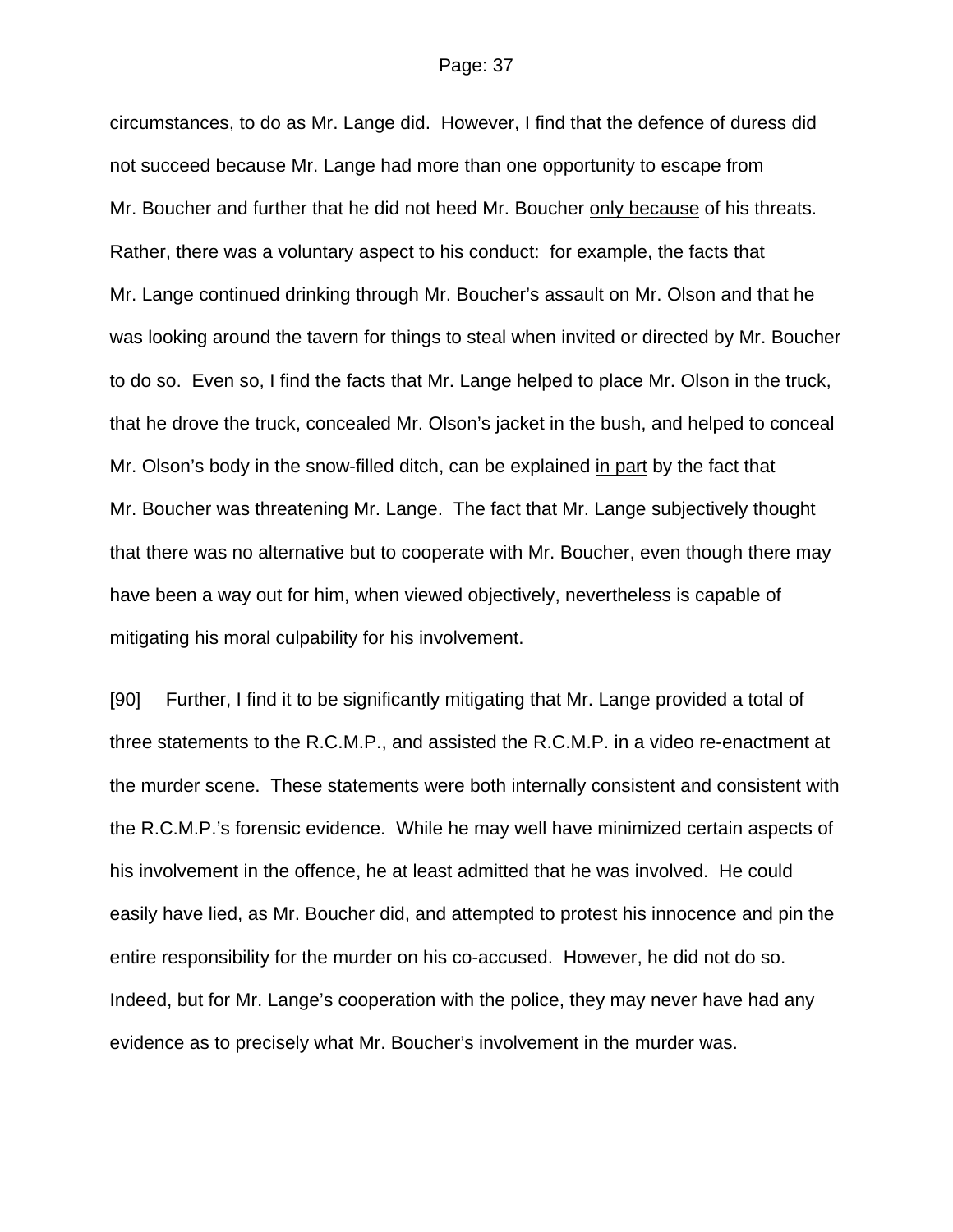circumstances, to do as Mr. Lange did. However, I find that the defence of duress did not succeed because Mr. Lange had more than one opportunity to escape from Mr. Boucher and further that he did not heed Mr. Boucher only because of his threats. Rather, there was a voluntary aspect to his conduct: for example, the facts that Mr. Lange continued drinking through Mr. Boucher's assault on Mr. Olson and that he was looking around the tavern for things to steal when invited or directed by Mr. Boucher to do so. Even so, I find the facts that Mr. Lange helped to place Mr. Olson in the truck, that he drove the truck, concealed Mr. Olson's jacket in the bush, and helped to conceal Mr. Olson's body in the snow-filled ditch, can be explained in part by the fact that Mr. Boucher was threatening Mr. Lange. The fact that Mr. Lange subjectively thought that there was no alternative but to cooperate with Mr. Boucher, even though there may have been a way out for him, when viewed objectively, nevertheless is capable of mitigating his moral culpability for his involvement.

[90] Further, I find it to be significantly mitigating that Mr. Lange provided a total of three statements to the R.C.M.P., and assisted the R.C.M.P. in a video re-enactment at the murder scene. These statements were both internally consistent and consistent with the R.C.M.P.'s forensic evidence. While he may well have minimized certain aspects of his involvement in the offence, he at least admitted that he was involved. He could easily have lied, as Mr. Boucher did, and attempted to protest his innocence and pin the entire responsibility for the murder on his co-accused. However, he did not do so. Indeed, but for Mr. Lange's cooperation with the police, they may never have had any evidence as to precisely what Mr. Boucher's involvement in the murder was.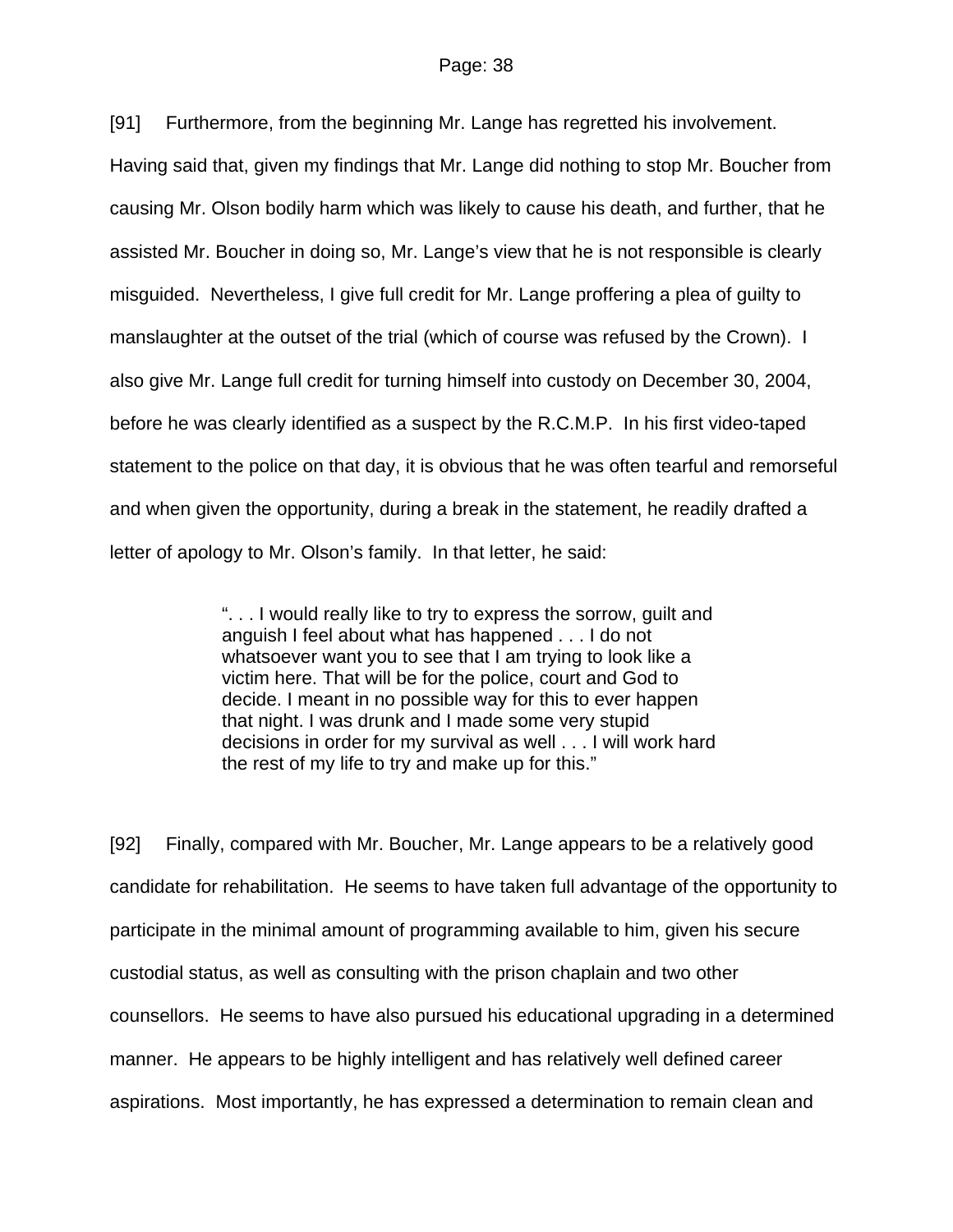[91] Furthermore, from the beginning Mr. Lange has regretted his involvement. Having said that, given my findings that Mr. Lange did nothing to stop Mr. Boucher from causing Mr. Olson bodily harm which was likely to cause his death, and further, that he assisted Mr. Boucher in doing so, Mr. Lange's view that he is not responsible is clearly misguided. Nevertheless, I give full credit for Mr. Lange proffering a plea of guilty to

manslaughter at the outset of the trial (which of course was refused by the Crown). I also give Mr. Lange full credit for turning himself into custody on December 30, 2004, before he was clearly identified as a suspect by the R.C.M.P. In his first video-taped statement to the police on that day, it is obvious that he was often tearful and remorseful and when given the opportunity, during a break in the statement, he readily drafted a letter of apology to Mr. Olson's family. In that letter, he said:

> ". . . I would really like to try to express the sorrow, guilt and anguish I feel about what has happened . . . I do not whatsoever want you to see that I am trying to look like a victim here. That will be for the police, court and God to decide. I meant in no possible way for this to ever happen that night. I was drunk and I made some very stupid decisions in order for my survival as well . . . I will work hard the rest of my life to try and make up for this."

[92] Finally, compared with Mr. Boucher, Mr. Lange appears to be a relatively good candidate for rehabilitation. He seems to have taken full advantage of the opportunity to participate in the minimal amount of programming available to him, given his secure custodial status, as well as consulting with the prison chaplain and two other counsellors. He seems to have also pursued his educational upgrading in a determined manner. He appears to be highly intelligent and has relatively well defined career aspirations. Most importantly, he has expressed a determination to remain clean and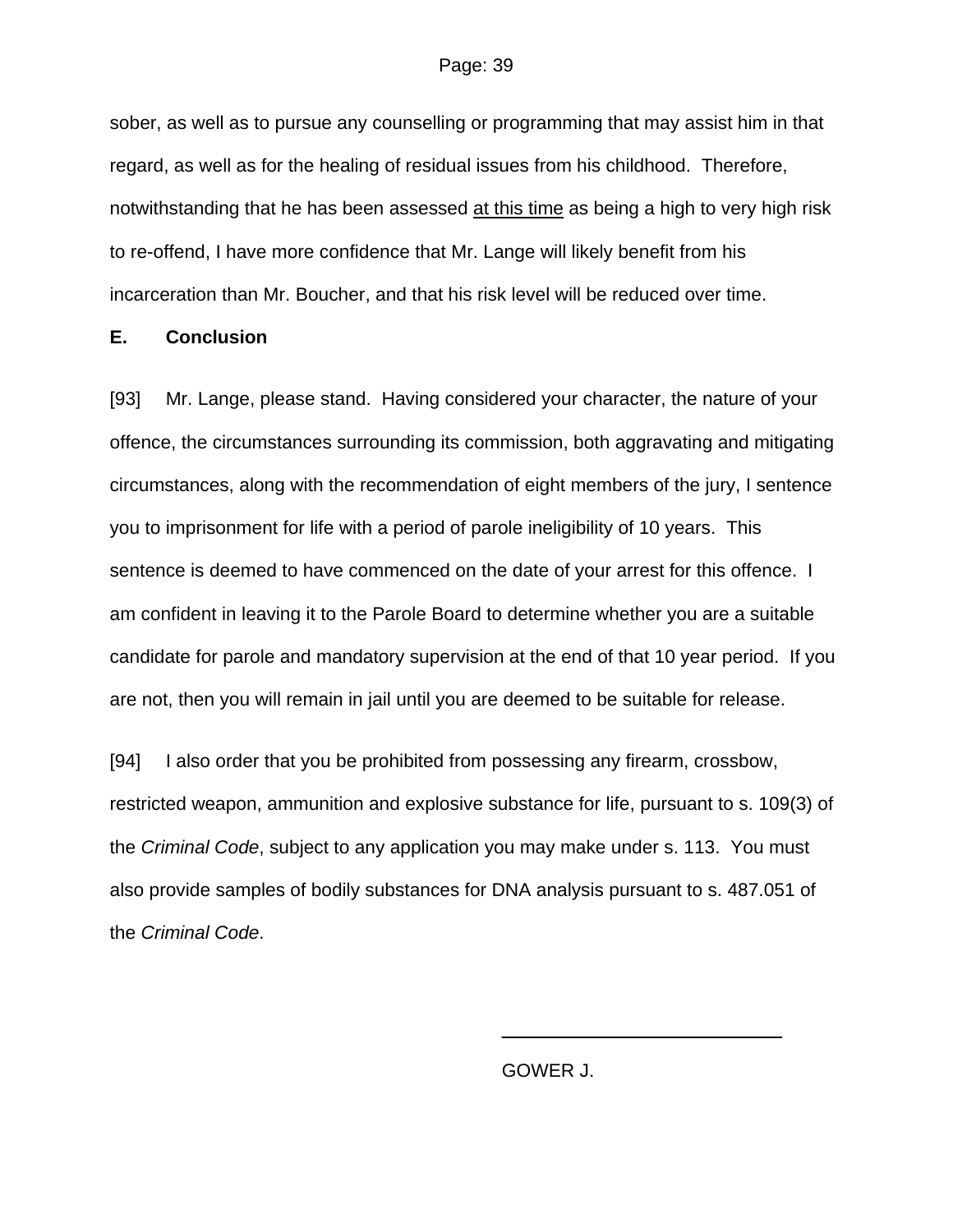sober, as well as to pursue any counselling or programming that may assist him in that regard, as well as for the healing of residual issues from his childhood. Therefore, notwithstanding that he has been assessed at this time as being a high to very high risk to re-offend, I have more confidence that Mr. Lange will likely benefit from his incarceration than Mr. Boucher, and that his risk level will be reduced over time.

### **E. Conclusion**

[93] Mr. Lange, please stand. Having considered your character, the nature of your offence, the circumstances surrounding its commission, both aggravating and mitigating circumstances, along with the recommendation of eight members of the jury, I sentence you to imprisonment for life with a period of parole ineligibility of 10 years. This sentence is deemed to have commenced on the date of your arrest for this offence. I am confident in leaving it to the Parole Board to determine whether you are a suitable candidate for parole and mandatory supervision at the end of that 10 year period. If you are not, then you will remain in jail until you are deemed to be suitable for release.

[94] I also order that you be prohibited from possessing any firearm, crossbow, restricted weapon, ammunition and explosive substance for life, pursuant to s. 109(3) of the *Criminal Code*, subject to any application you may make under s. 113. You must also provide samples of bodily substances for DNA analysis pursuant to s. 487.051 of the *Criminal Code*.

 $\overline{\phantom{a}}$  , which is a set of the set of the set of the set of the set of the set of the set of the set of the set of the set of the set of the set of the set of the set of the set of the set of the set of the set of th

GOWER J.